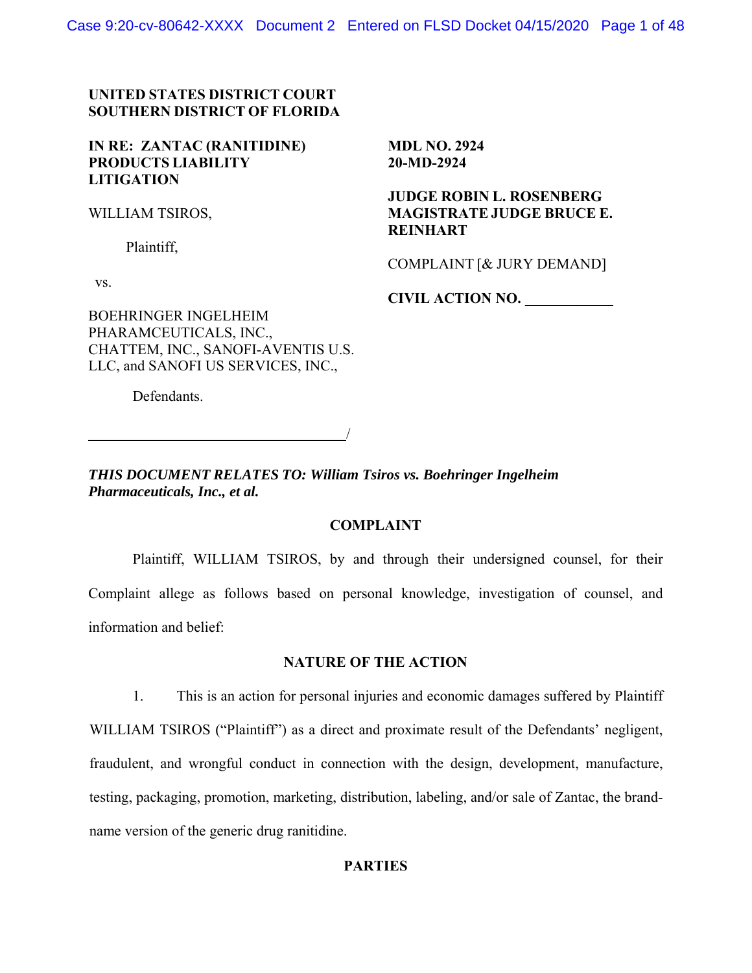Case 9:20-cv-80642-XXXX Document 2 Entered on FLSD Docket 04/15/2020 Page 1 of 48

# **UNITED STATES DISTRICT COURT SOUTHERN DISTRICT OF FLORIDA**

## **IN RE: ZANTAC (RANITIDINE) PRODUCTS LIABILITY LITIGATION**

WILLIAM TSIROS,

Plaintiff,

vs.

**MDL NO. 2924 20-MD-2924**

 **JUDGE ROBIN L. ROSENBERG MAGISTRATE JUDGE BRUCE E. REINHART**

COMPLAINT [& JURY DEMAND]

**CIVIL ACTION NO.** \_\_\_\_\_\_\_\_\_\_\_\_

BOEHRINGER INGELHEIM PHARAMCEUTICALS, INC., CHATTEM, INC., SANOFI-AVENTIS U.S. LLC, and SANOFI US SERVICES, INC.,

Defendants.

/

*THIS DOCUMENT RELATES TO: William Tsiros vs. Boehringer Ingelheim Pharmaceuticals, Inc., et al.* 

### **COMPLAINT**

Plaintiff, WILLIAM TSIROS, by and through their undersigned counsel, for their Complaint allege as follows based on personal knowledge, investigation of counsel, and information and belief:

## **NATURE OF THE ACTION**

1. This is an action for personal injuries and economic damages suffered by Plaintiff WILLIAM TSIROS ("Plaintiff") as a direct and proximate result of the Defendants' negligent, fraudulent, and wrongful conduct in connection with the design, development, manufacture, testing, packaging, promotion, marketing, distribution, labeling, and/or sale of Zantac, the brandname version of the generic drug ranitidine.

### **PARTIES**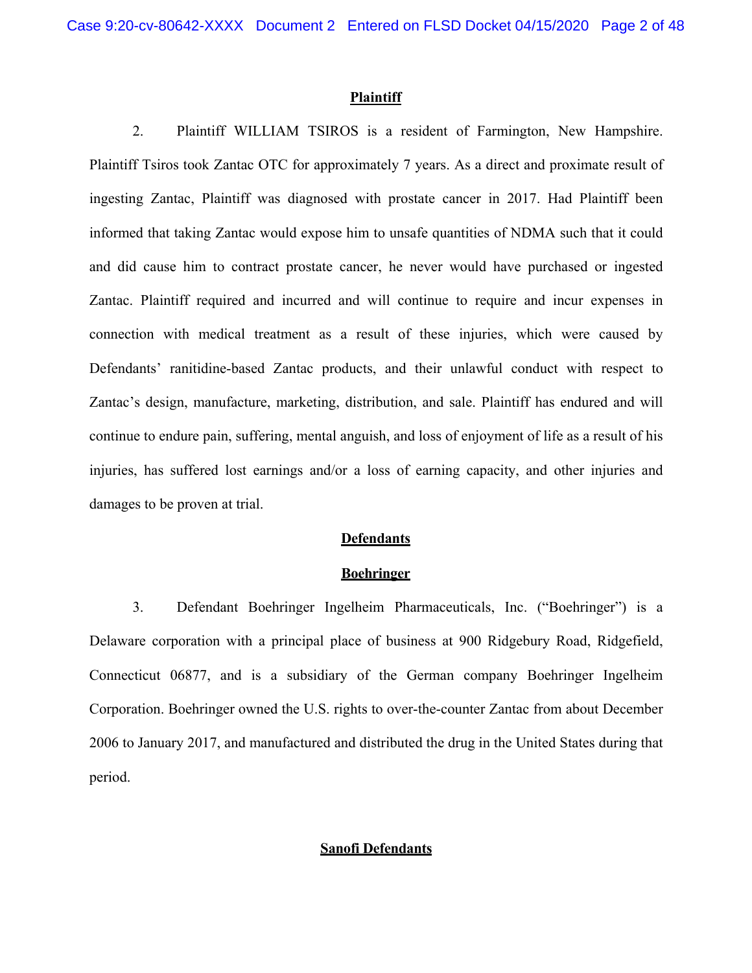#### **Plaintiff**

2. Plaintiff WILLIAM TSIROS is a resident of Farmington, New Hampshire. Plaintiff Tsiros took Zantac OTC for approximately 7 years. As a direct and proximate result of ingesting Zantac, Plaintiff was diagnosed with prostate cancer in 2017. Had Plaintiff been informed that taking Zantac would expose him to unsafe quantities of NDMA such that it could and did cause him to contract prostate cancer, he never would have purchased or ingested Zantac. Plaintiff required and incurred and will continue to require and incur expenses in connection with medical treatment as a result of these injuries, which were caused by Defendants' ranitidine-based Zantac products, and their unlawful conduct with respect to Zantac's design, manufacture, marketing, distribution, and sale. Plaintiff has endured and will continue to endure pain, suffering, mental anguish, and loss of enjoyment of life as a result of his injuries, has suffered lost earnings and/or a loss of earning capacity, and other injuries and damages to be proven at trial.

#### **Defendants**

#### **Boehringer**

3. Defendant Boehringer Ingelheim Pharmaceuticals, Inc. ("Boehringer") is a Delaware corporation with a principal place of business at 900 Ridgebury Road, Ridgefield, Connecticut 06877, and is a subsidiary of the German company Boehringer Ingelheim Corporation. Boehringer owned the U.S. rights to over-the-counter Zantac from about December 2006 to January 2017, and manufactured and distributed the drug in the United States during that period.

### **Sanofi Defendants**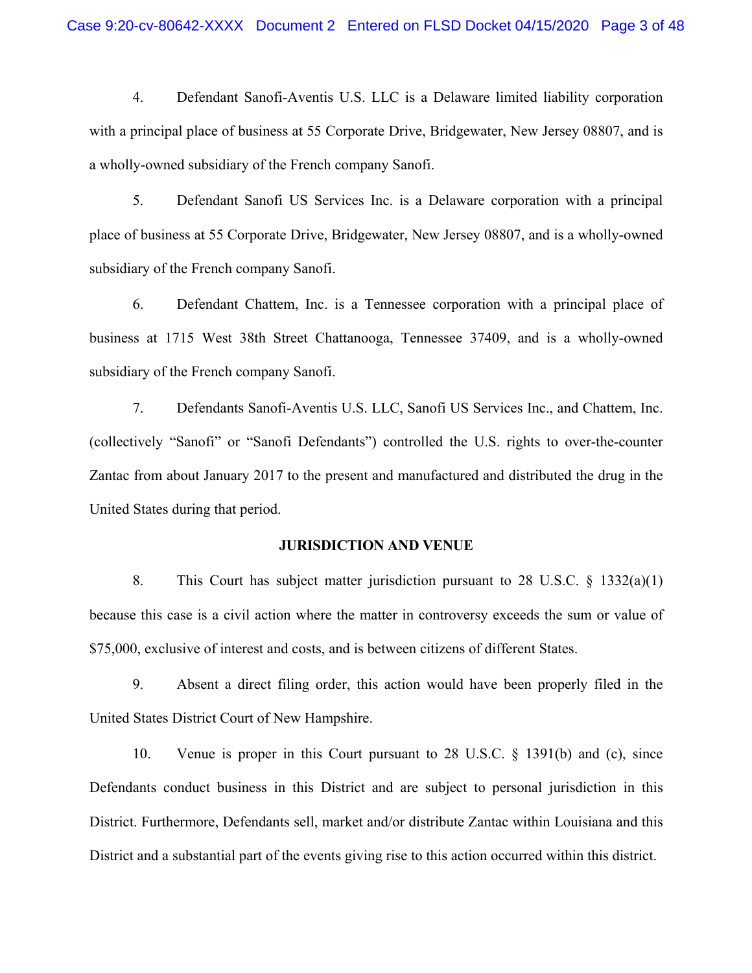4. Defendant Sanofi-Aventis U.S. LLC is a Delaware limited liability corporation with a principal place of business at 55 Corporate Drive, Bridgewater, New Jersey 08807, and is a wholly-owned subsidiary of the French company Sanofi.

5. Defendant Sanofi US Services Inc. is a Delaware corporation with a principal place of business at 55 Corporate Drive, Bridgewater, New Jersey 08807, and is a wholly-owned subsidiary of the French company Sanofi.

6. Defendant Chattem, Inc. is a Tennessee corporation with a principal place of business at 1715 West 38th Street Chattanooga, Tennessee 37409, and is a wholly-owned subsidiary of the French company Sanofi.

7. Defendants Sanofi-Aventis U.S. LLC, Sanofi US Services Inc., and Chattem, Inc. (collectively "Sanofi" or "Sanofi Defendants") controlled the U.S. rights to over-the-counter Zantac from about January 2017 to the present and manufactured and distributed the drug in the United States during that period.

#### **JURISDICTION AND VENUE**

8. This Court has subject matter jurisdiction pursuant to 28 U.S.C. § 1332(a)(1) because this case is a civil action where the matter in controversy exceeds the sum or value of \$75,000, exclusive of interest and costs, and is between citizens of different States.

9. Absent a direct filing order, this action would have been properly filed in the United States District Court of New Hampshire.

10. Venue is proper in this Court pursuant to 28 U.S.C. § 1391(b) and (c), since Defendants conduct business in this District and are subject to personal jurisdiction in this District. Furthermore, Defendants sell, market and/or distribute Zantac within Louisiana and this District and a substantial part of the events giving rise to this action occurred within this district.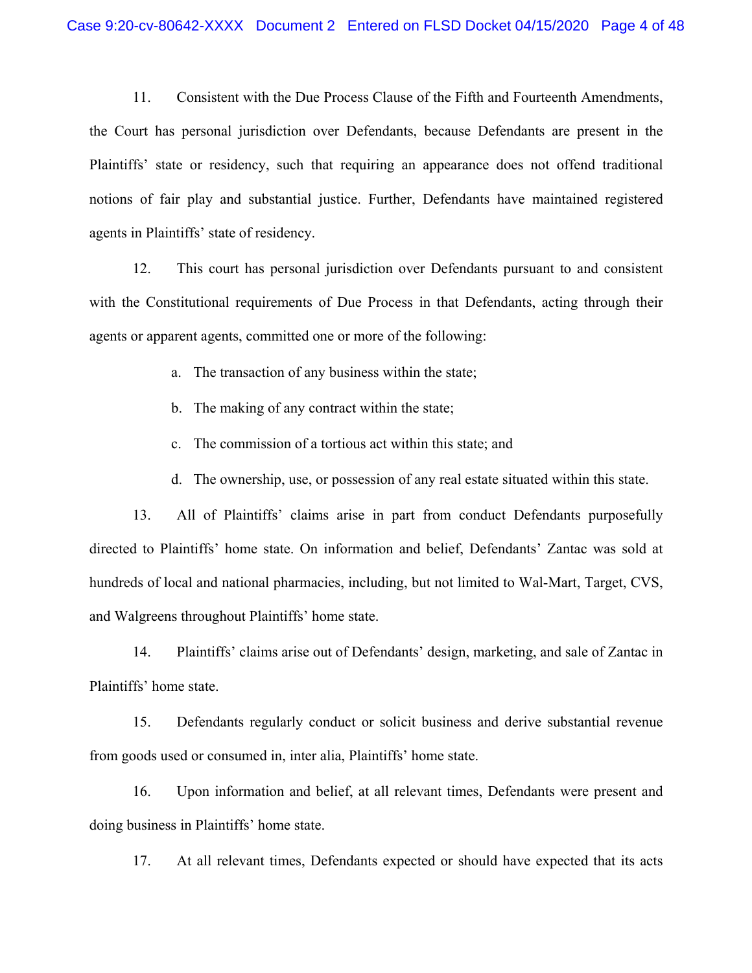11. Consistent with the Due Process Clause of the Fifth and Fourteenth Amendments, the Court has personal jurisdiction over Defendants, because Defendants are present in the Plaintiffs' state or residency, such that requiring an appearance does not offend traditional notions of fair play and substantial justice. Further, Defendants have maintained registered agents in Plaintiffs' state of residency.

12. This court has personal jurisdiction over Defendants pursuant to and consistent with the Constitutional requirements of Due Process in that Defendants, acting through their agents or apparent agents, committed one or more of the following:

- a. The transaction of any business within the state;
- b. The making of any contract within the state;
- c. The commission of a tortious act within this state; and
- d. The ownership, use, or possession of any real estate situated within this state.

13. All of Plaintiffs' claims arise in part from conduct Defendants purposefully directed to Plaintiffs' home state. On information and belief, Defendants' Zantac was sold at hundreds of local and national pharmacies, including, but not limited to Wal-Mart, Target, CVS, and Walgreens throughout Plaintiffs' home state.

14. Plaintiffs' claims arise out of Defendants' design, marketing, and sale of Zantac in Plaintiffs' home state.

15. Defendants regularly conduct or solicit business and derive substantial revenue from goods used or consumed in, inter alia, Plaintiffs' home state.

16. Upon information and belief, at all relevant times, Defendants were present and doing business in Plaintiffs' home state.

17. At all relevant times, Defendants expected or should have expected that its acts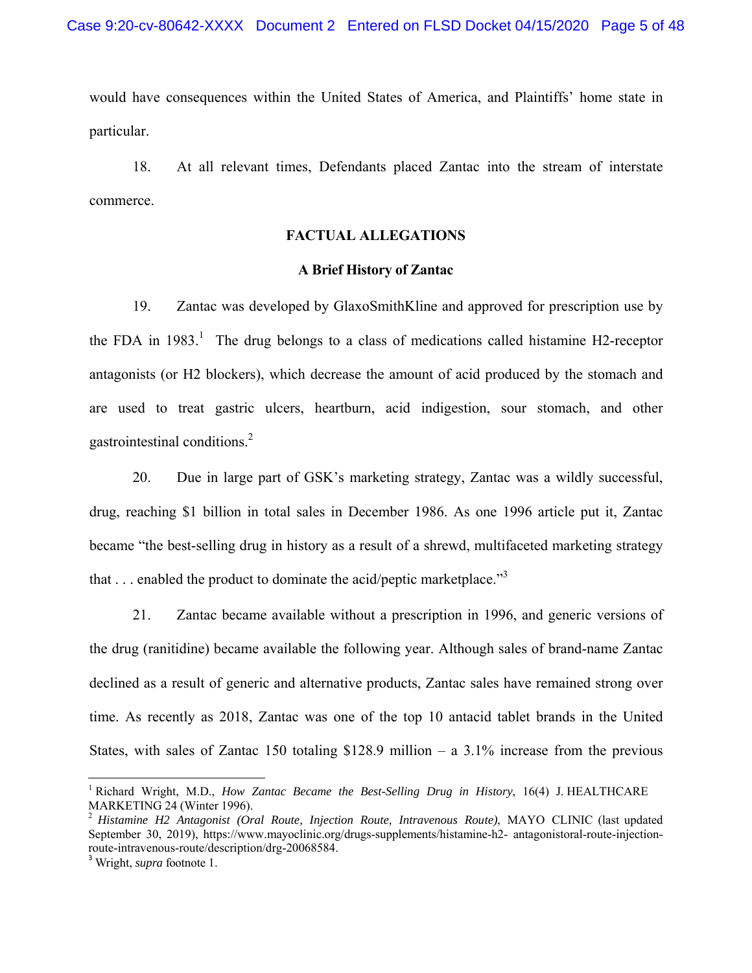would have consequences within the United States of America, and Plaintiffs' home state in particular.

18. At all relevant times, Defendants placed Zantac into the stream of interstate commerce.

#### **FACTUAL ALLEGATIONS**

### **A Brief History of Zantac**

19. Zantac was developed by GlaxoSmithKline and approved for prescription use by the FDA in 1983.<sup>1</sup> The drug belongs to a class of medications called histamine H2-receptor antagonists (or H2 blockers), which decrease the amount of acid produced by the stomach and are used to treat gastric ulcers, heartburn, acid indigestion, sour stomach, and other gastrointestinal conditions.2

20. Due in large part of GSK's marketing strategy, Zantac was a wildly successful, drug, reaching \$1 billion in total sales in December 1986. As one 1996 article put it, Zantac became "the best-selling drug in history as a result of a shrewd, multifaceted marketing strategy that  $\ldots$  enabled the product to dominate the acid/peptic marketplace."<sup>3</sup>

21. Zantac became available without a prescription in 1996, and generic versions of the drug (ranitidine) became available the following year. Although sales of brand-name Zantac declined as a result of generic and alternative products, Zantac sales have remained strong over time. As recently as 2018, Zantac was one of the top 10 antacid tablet brands in the United States, with sales of Zantac 150 totaling \$128.9 million – a  $3.1\%$  increase from the previous

<sup>&</sup>lt;sup>1</sup> Richard Wright, M.D., *How Zantac Became the Best-Selling Drug in History*, 16(4) J. HEALTHCARE MARKETING 24 (Winter 1996).

<sup>2</sup> *Histamine H2 Antagonist (Oral Route, Injection Route, Intravenous Route)*, MAYO CLINIC (last updated September 30, 2019), https://www.mayoclinic.org/drugs-supplements/histamine-h2- antagonistoral-route-injectionroute-intravenous-route/description/drg-20068584.

<sup>3</sup> Wright, *supra* footnote 1.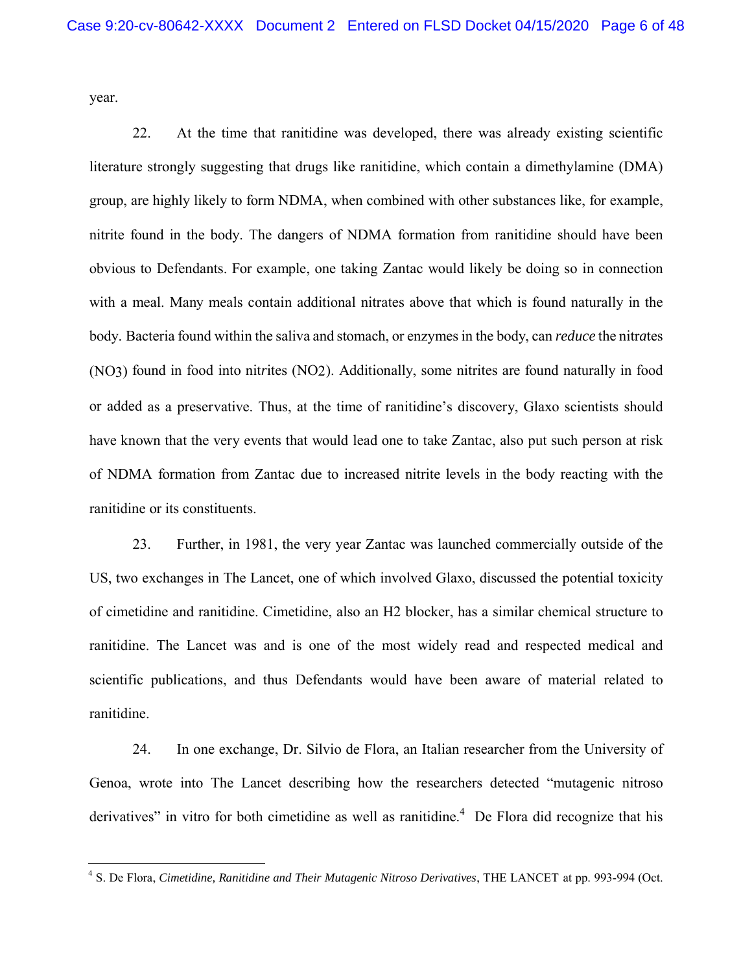year.

22. At the time that ranitidine was developed, there was already existing scientific literature strongly suggesting that drugs like ranitidine, which contain a dimethylamine (DMA) group, are highly likely to form NDMA, when combined with other substances like, for example, nitrite found in the body. The dangers of NDMA formation from ranitidine should have been obvious to Defendants. For example, one taking Zantac would likely be doing so in connection with a meal. Many meals contain additional nitrates above that which is found naturally in the body. Bacteria found within the saliva and stomach, or enzymes in the body, can *reduce* the nitr*a*tes (NO3) found in food into nit*r*ites (NO2). Additionally, some nitrites are found naturally in food or added as a preservative. Thus, at the time of ranitidine's discovery, Glaxo scientists should have known that the very events that would lead one to take Zantac, also put such person at risk of NDMA formation from Zantac due to increased nitrite levels in the body reacting with the ranitidine or its constituents.

23. Further, in 1981, the very year Zantac was launched commercially outside of the US, two exchanges in The Lancet, one of which involved Glaxo, discussed the potential toxicity of cimetidine and ranitidine. Cimetidine, also an H2 blocker, has a similar chemical structure to ranitidine. The Lancet was and is one of the most widely read and respected medical and scientific publications, and thus Defendants would have been aware of material related to ranitidine.

24. In one exchange, Dr. Silvio de Flora, an Italian researcher from the University of Genoa, wrote into The Lancet describing how the researchers detected "mutagenic nitroso derivatives" in vitro for both cimetidine as well as ranitidine.<sup>4</sup> De Flora did recognize that his

<sup>4</sup> S. De Flora, *Cimetidine, Ranitidine and Their Mutagenic Nitroso Derivatives*, THE LANCET at pp. 993-994 (Oct.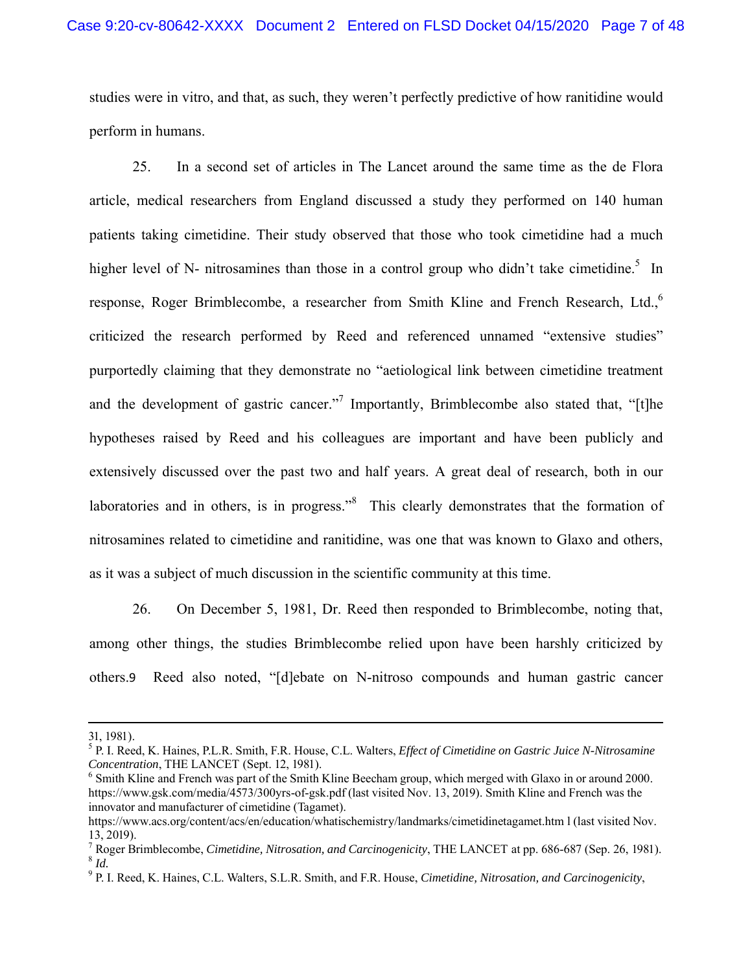studies were in vitro, and that, as such, they weren't perfectly predictive of how ranitidine would perform in humans.

25. In a second set of articles in The Lancet around the same time as the de Flora article, medical researchers from England discussed a study they performed on 140 human patients taking cimetidine. Their study observed that those who took cimetidine had a much higher level of N- nitrosamines than those in a control group who didn't take cimetidine.<sup>5</sup> In response, Roger Brimblecombe, a researcher from Smith Kline and French Research, Ltd.,<sup>6</sup> criticized the research performed by Reed and referenced unnamed "extensive studies" purportedly claiming that they demonstrate no "aetiological link between cimetidine treatment and the development of gastric cancer."<sup>7</sup> Importantly, Brimblecombe also stated that, "[t]he hypotheses raised by Reed and his colleagues are important and have been publicly and extensively discussed over the past two and half years. A great deal of research, both in our laboratories and in others, is in progress."<sup>8</sup> This clearly demonstrates that the formation of nitrosamines related to cimetidine and ranitidine, was one that was known to Glaxo and others, as it was a subject of much discussion in the scientific community at this time.

26. On December 5, 1981, Dr. Reed then responded to Brimblecombe, noting that, among other things, the studies Brimblecombe relied upon have been harshly criticized by others.9 Reed also noted, "[d]ebate on N-nitroso compounds and human gastric cancer

<u> 1989 - Johann Stein, marwolaethau a bhannaich an t-an an t-an an t-an an t-an an t-an an t-an an t-an an t-a</u>

<sup>31, 1981).</sup>

<sup>5</sup> P. I. Reed, K. Haines, P.L.R. Smith, F.R. House, C.L. Walters, *Effect of Cimetidine on Gastric Juice N-Nitrosamine Concentration*, THE LANCET (Sept. 12, 1981).

<sup>&</sup>lt;sup>6</sup> Smith Kline and French was part of the Smith Kline Beecham group, which merged with Glaxo in or around 2000. https://www.gsk.com/media/4573/300yrs-of-gsk.pdf (last visited Nov. 13, 2019). Smith Kline and French was the innovator and manufacturer of cimetidine (Tagamet).

https://www.acs.org/content/acs/en/education/whatischemistry/landmarks/cimetidinetagamet.htm l (last visited Nov. 13, 2019).

<sup>7</sup> Roger Brimblecombe, *Cimetidine, Nitrosation, and Carcinogenicity*, THE LANCET at pp. 686-687 (Sep. 26, 1981). <sup>8</sup> *Id.*

<sup>9</sup> P. I. Reed, K. Haines, C.L. Walters, S.L.R. Smith, and F.R. House, *Cimetidine, Nitrosation, and Carcinogenicity*,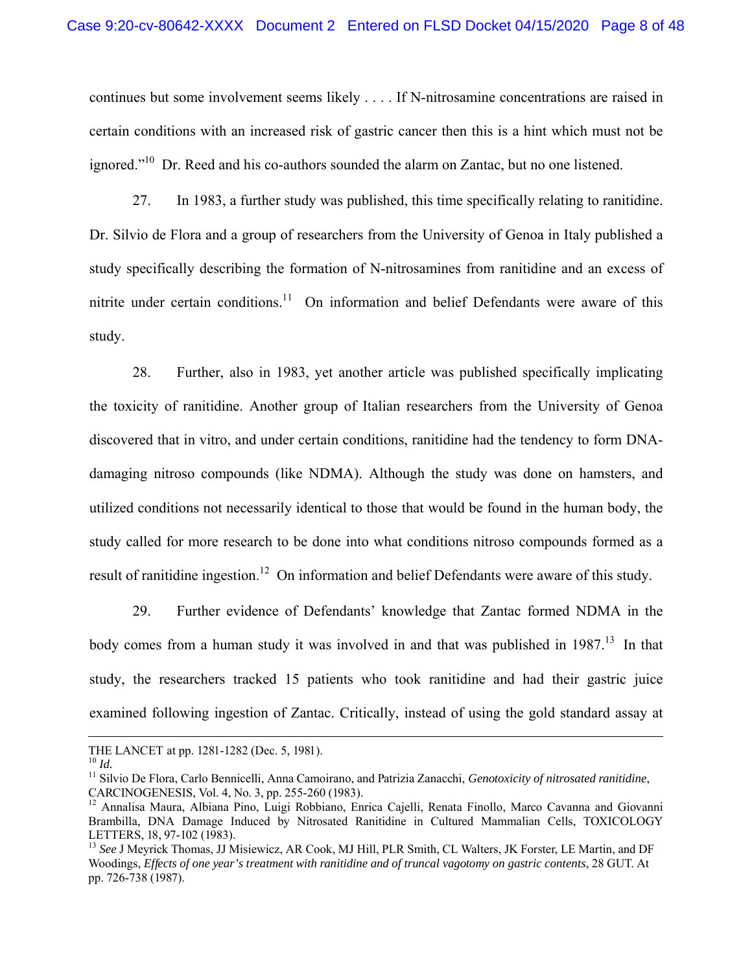continues but some involvement seems likely . . . . If N-nitrosamine concentrations are raised in certain conditions with an increased risk of gastric cancer then this is a hint which must not be ignored."<sup>10</sup> Dr. Reed and his co-authors sounded the alarm on Zantac, but no one listened.

27. In 1983, a further study was published, this time specifically relating to ranitidine. Dr. Silvio de Flora and a group of researchers from the University of Genoa in Italy published a study specifically describing the formation of N-nitrosamines from ranitidine and an excess of nitrite under certain conditions.<sup>11</sup> On information and belief Defendants were aware of this study.

28. Further, also in 1983, yet another article was published specifically implicating the toxicity of ranitidine. Another group of Italian researchers from the University of Genoa discovered that in vitro, and under certain conditions, ranitidine had the tendency to form DNAdamaging nitroso compounds (like NDMA). Although the study was done on hamsters, and utilized conditions not necessarily identical to those that would be found in the human body, the study called for more research to be done into what conditions nitroso compounds formed as a result of ranitidine ingestion.<sup>12</sup> On information and belief Defendants were aware of this study.

29. Further evidence of Defendants' knowledge that Zantac formed NDMA in the body comes from a human study it was involved in and that was published in  $1987$ .<sup>13</sup> In that study, the researchers tracked 15 patients who took ranitidine and had their gastric juice examined following ingestion of Zantac. Critically, instead of using the gold standard assay at

<u> 1989 - Johann Stein, marwolaethau a gweledydd a ganlad y ganlad y ganlad y ganlad y ganlad y ganlad y ganlad</u>

THE LANCET at pp. 1281-1282 (Dec. 5, 1981).<br><sup>10</sup> Id.

<sup>&</sup>lt;sup>11</sup> Silvio De Flora, Carlo Bennicelli, Anna Camoirano, and Patrizia Zanacchi, *Genotoxicity of nitrosated ranitidine*, CARCINOGENESIS, Vol. 4, No. 3, pp. 255-260 (1983).

<sup>&</sup>lt;sup>12</sup> Annalisa Maura, Albiana Pino, Luigi Robbiano, Enrica Cajelli, Renata Finollo, Marco Cavanna and Giovanni Brambilla, DNA Damage Induced by Nitrosated Ranitidine in Cultured Mammalian Cells, TOXICOLOGY LETTERS, 18, 97-102 (1983).

<sup>&</sup>lt;sup>13</sup> See J Meyrick Thomas, JJ Misiewicz, AR Cook, MJ Hill, PLR Smith, CL Walters, JK Forster, LE Martin, and DF Woodings, *Effects of one year's treatment with ranitidine and of truncal vagotomy on gastric contents*, 28 GUT. At pp. 726-738 (1987).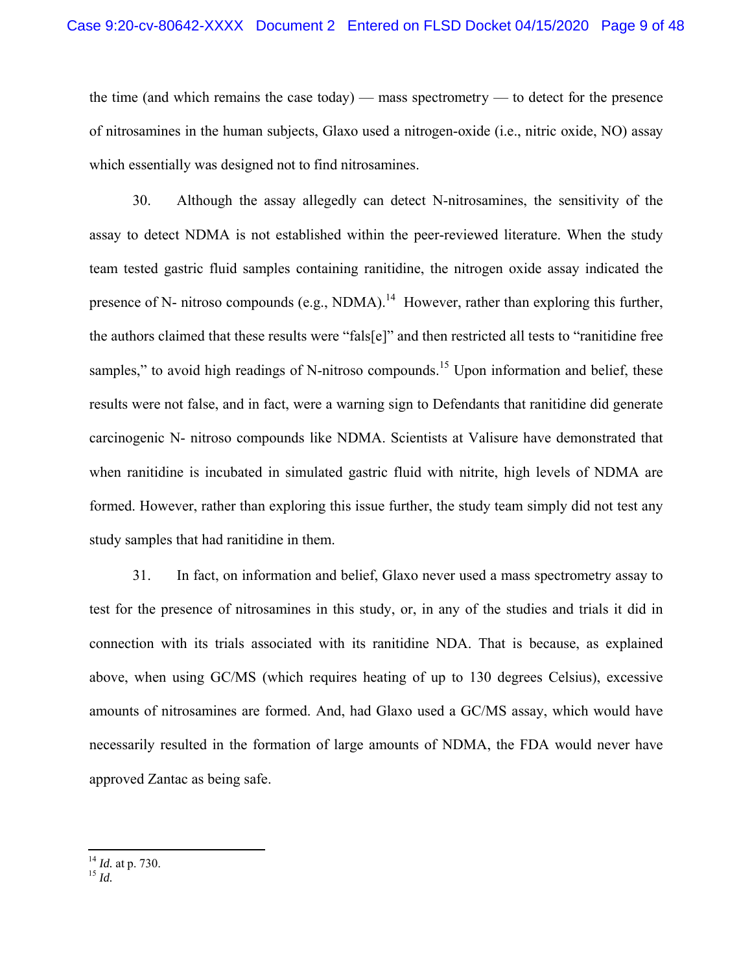the time (and which remains the case today) — mass spectrometry — to detect for the presence of nitrosamines in the human subjects, Glaxo used a nitrogen-oxide (i.e., nitric oxide, NO) assay which essentially was designed not to find nitrosamines.

30. Although the assay allegedly can detect N-nitrosamines, the sensitivity of the assay to detect NDMA is not established within the peer-reviewed literature. When the study team tested gastric fluid samples containing ranitidine, the nitrogen oxide assay indicated the presence of N- nitroso compounds (e.g., NDMA).<sup>14</sup> However, rather than exploring this further, the authors claimed that these results were "fals[e]" and then restricted all tests to "ranitidine free samples," to avoid high readings of N-nitroso compounds.<sup>15</sup> Upon information and belief, these results were not false, and in fact, were a warning sign to Defendants that ranitidine did generate carcinogenic N- nitroso compounds like NDMA. Scientists at Valisure have demonstrated that when ranitidine is incubated in simulated gastric fluid with nitrite, high levels of NDMA are formed. However, rather than exploring this issue further, the study team simply did not test any study samples that had ranitidine in them.

31. In fact, on information and belief, Glaxo never used a mass spectrometry assay to test for the presence of nitrosamines in this study, or, in any of the studies and trials it did in connection with its trials associated with its ranitidine NDA. That is because, as explained above, when using GC/MS (which requires heating of up to 130 degrees Celsius), excessive amounts of nitrosamines are formed. And, had Glaxo used a GC/MS assay, which would have necessarily resulted in the formation of large amounts of NDMA, the FDA would never have approved Zantac as being safe.

<sup>14</sup> *Id.* at p. 730.

<sup>15</sup> *Id.*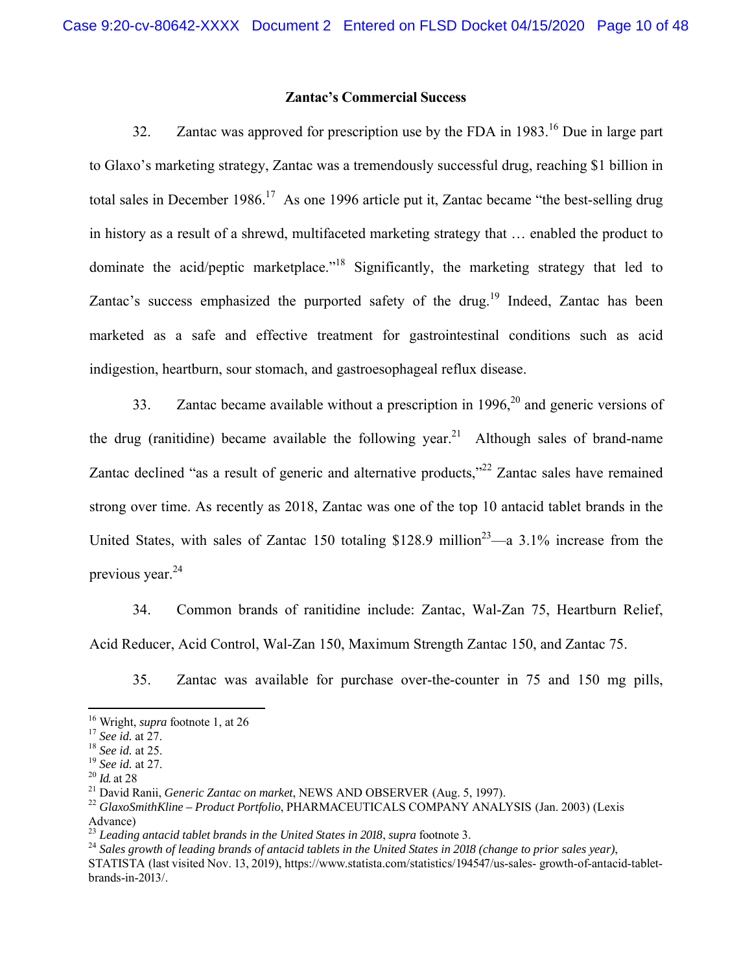### **Zantac's Commercial Success**

32. Zantac was approved for prescription use by the FDA in 1983.<sup>16</sup> Due in large part to Glaxo's marketing strategy, Zantac was a tremendously successful drug, reaching \$1 billion in total sales in December 1986.<sup>17</sup> As one 1996 article put it, Zantac became "the best-selling drug in history as a result of a shrewd, multifaceted marketing strategy that … enabled the product to dominate the acid/peptic marketplace."<sup>18</sup> Significantly, the marketing strategy that led to Zantac's success emphasized the purported safety of the drug.<sup>19</sup> Indeed, Zantac has been marketed as a safe and effective treatment for gastrointestinal conditions such as acid indigestion, heartburn, sour stomach, and gastroesophageal reflux disease.

33. Zantac became available without a prescription in  $1996$ ,  $20$  and generic versions of the drug (ranitidine) became available the following year.<sup>21</sup> Although sales of brand-name Zantac declined "as a result of generic and alternative products,"<sup>22</sup> Zantac sales have remained strong over time. As recently as 2018, Zantac was one of the top 10 antacid tablet brands in the United States, with sales of Zantac 150 totaling  $$128.9$  million<sup>23</sup>—a 3.1% increase from the previous year. $^{24}$ 

34. Common brands of ranitidine include: Zantac, Wal-Zan 75, Heartburn Relief, Acid Reducer, Acid Control, Wal-Zan 150, Maximum Strength Zantac 150, and Zantac 75.

35. Zantac was available for purchase over-the-counter in 75 and 150 mg pills,

<sup>21</sup> David Ranii, *Generic Zantac on market*, NEWS AND OBSERVER (Aug. 5, 1997).<br><sup>22</sup> *GlaxoSmithKline – Product Portfolio*, PHARMACEUTICALS COMPANY ANALYSIS (Jan. 2003) (Lexis Advance)<br> $^{23}$  Leading antacid tablet brands in the United States in 2018, supra footnote 3.

<sup>16</sup> Wright, *supra* footnote 1, at 26

<sup>17</sup> *See id.* at 27.

<sup>18</sup> *See id.* at 25.

<sup>&</sup>lt;sup>19</sup> *See id.* at 27.<br><sup>20</sup> *Id.* at 28

<sup>&</sup>lt;sup>24</sup> Sales growth of leading brands of antacid tablets in the United States in 2018 (change to prior sales year), STATISTA (last visited Nov. 13, 2019), https://www.statista.com/statistics/194547/us-sales- growth-of-antacid-tabletbrands-in-2013/.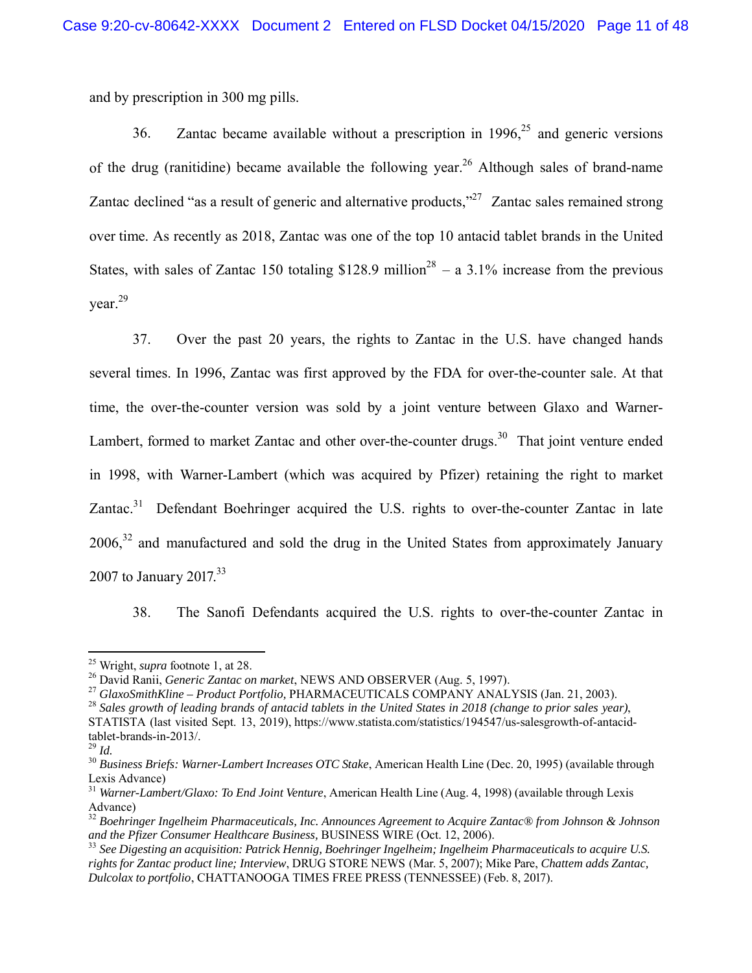and by prescription in 300 mg pills.

36. Zantac became available without a prescription in  $1996$ <sup>25</sup> and generic versions of the drug (ranitidine) became available the following year.<sup>26</sup> Although sales of brand-name Zantac declined "as a result of generic and alternative products,"  $27$  Zantac sales remained strong over time. As recently as 2018, Zantac was one of the top 10 antacid tablet brands in the United States, with sales of Zantac 150 totaling \$128.9 million<sup>28</sup> – a 3.1% increase from the previous year.29

37. Over the past 20 years, the rights to Zantac in the U.S. have changed hands several times. In 1996, Zantac was first approved by the FDA for over-the-counter sale. At that time, the over-the-counter version was sold by a joint venture between Glaxo and Warner-Lambert, formed to market Zantac and other over-the-counter drugs.<sup>30</sup> That joint venture ended in 1998, with Warner-Lambert (which was acquired by Pfizer) retaining the right to market  $Z$ antac.<sup>31</sup> Defendant Boehringer acquired the U.S. rights to over-the-counter Zantac in late  $2006<sup>32</sup>$  and manufactured and sold the drug in the United States from approximately January 2007 to January 2017.<sup>33</sup>

38. The Sanofi Defendants acquired the U.S. rights to over-the-counter Zantac in

<sup>28</sup> *Sales growth of leading brands of antacid tablets in the United States in 2018 (change to prior sales year)*, STATISTA (last visited Sept. 13, 2019), https://www.statista.com/statistics/194547/us-salesgrowth-of-antacidtablet-brands-in-2013/.

 25 Wright, *supra* footnote 1, at 28.

<sup>26</sup> David Ranii, *Generic Zantac on market*, NEWS AND OBSERVER (Aug. 5, 1997).

<sup>27</sup> *GlaxoSmithKline – Product Portfolio,* PHARMACEUTICALS COMPANY ANALYSIS (Jan. 21, 2003).

<sup>29</sup> *Id.*

<sup>30</sup> *Business Briefs: Warner-Lambert Increases OTC Stake*, American Health Line (Dec. 20, 1995) (available through Lexis Advance)

<sup>31</sup> *Warner-Lambert/Glaxo: To End Joint Venture*, American Health Line (Aug. 4, 1998) (available through Lexis Advance)

<sup>32</sup> *Boehringer Ingelheim Pharmaceuticals, Inc. Announces Agreement to Acquire Zantac® from Johnson & Johnson and the Pfizer Consumer Healthcare Business,* BUSINESS WIRE (Oct. 12, 2006).

<sup>33</sup> *See Digesting an acquisition: Patrick Hennig, Boehringer Ingelheim; Ingelheim Pharmaceuticals to acquire U.S. rights for Zantac product line; Interview*, DRUG STORE NEWS (Mar. 5, 2007); Mike Pare, *Chattem adds Zantac, Dulcolax to portfolio*, CHATTANOOGA TIMES FREE PRESS (TENNESSEE) (Feb. 8, 2017).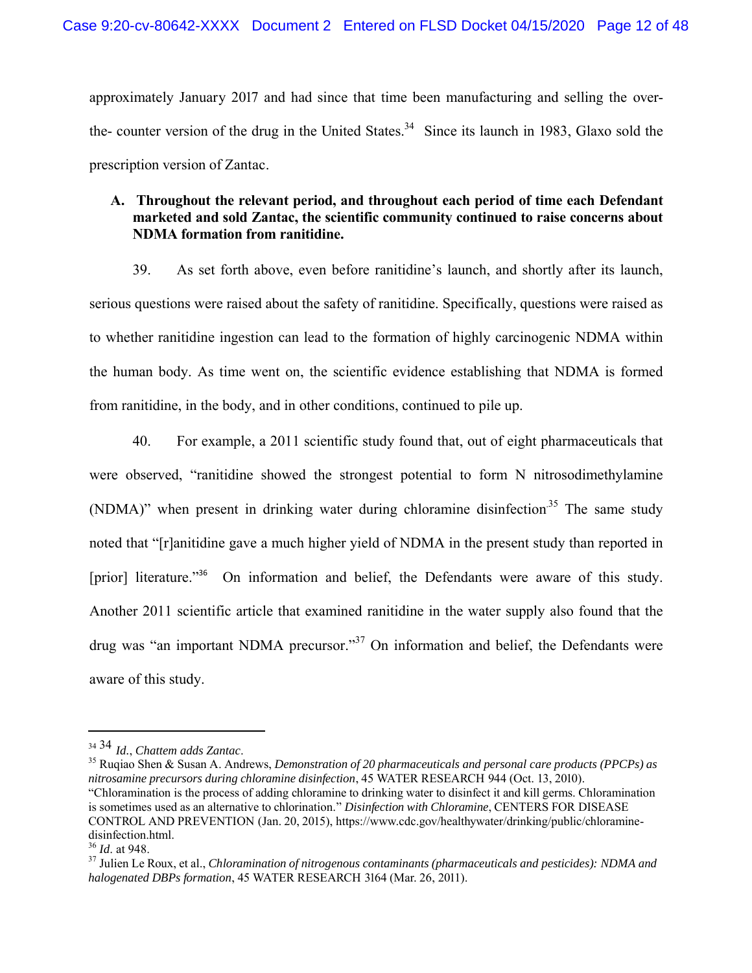approximately January 2017 and had since that time been manufacturing and selling the overthe- counter version of the drug in the United States.<sup>34</sup> Since its launch in 1983, Glaxo sold the prescription version of Zantac.

# **A. Throughout the relevant period, and throughout each period of time each Defendant marketed and sold Zantac, the scientific community continued to raise concerns about NDMA formation from ranitidine.**

39. As set forth above, even before ranitidine's launch, and shortly after its launch, serious questions were raised about the safety of ranitidine. Specifically, questions were raised as to whether ranitidine ingestion can lead to the formation of highly carcinogenic NDMA within the human body. As time went on, the scientific evidence establishing that NDMA is formed from ranitidine, in the body, and in other conditions, continued to pile up.

40. For example, a 2011 scientific study found that, out of eight pharmaceuticals that were observed, "ranitidine showed the strongest potential to form N nitrosodimethylamine (NDMA)" when present in drinking water during chloramine disinfection.<sup>35</sup> The same study noted that "[r]anitidine gave a much higher yield of NDMA in the present study than reported in [prior] literature."<sup>36</sup> On information and belief, the Defendants were aware of this study. Another 2011 scientific article that examined ranitidine in the water supply also found that the drug was "an important NDMA precursor."<sup>37</sup> On information and belief, the Defendants were aware of this study.

<sup>&</sup>lt;sup>34 34</sup> *Id.*, *Chattem adds Zantac.*<br><sup>35</sup> Ruqiao Shen & Susan A. Andrews, *Demonstration of 20 pharmaceuticals and personal care products (PPCPs) as nitrosamine precursors during chloramine disinfection*, 45 WATER RESEARCH 944 (Oct. 13, 2010). "Chloramination is the process of adding chloramine to drinking water to disinfect it and kill germs. Chloramination is sometimes used as an alternative to chlorination." *Disinfection with Chloramine*, CENTERS FOR DISEASE

CONTROL AND PREVENTION (Jan. 20, 2015), https://www.cdc.gov/healthywater/drinking/public/chloraminedisinfection.html.

<sup>36</sup> *Id*. at 948.

<sup>37</sup> Julien Le Roux, et al., *Chloramination of nitrogenous contaminants (pharmaceuticals and pesticides): NDMA and halogenated DBPs formation*, 45 WATER RESEARCH 3164 (Mar. 26, 2011).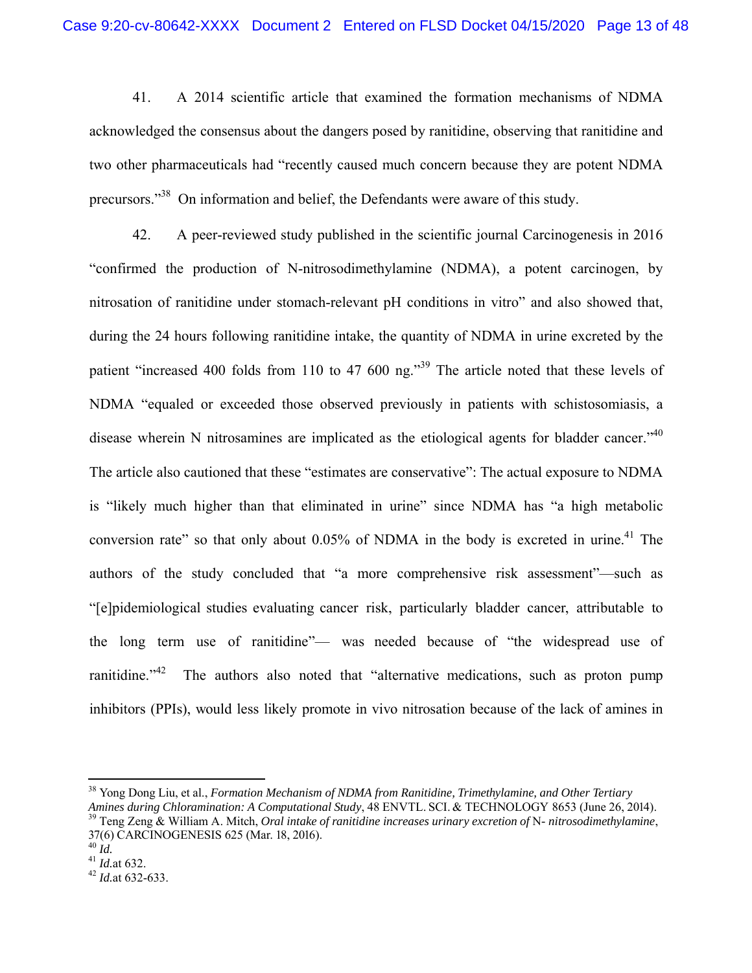41. A 2014 scientific article that examined the formation mechanisms of NDMA acknowledged the consensus about the dangers posed by ranitidine, observing that ranitidine and two other pharmaceuticals had "recently caused much concern because they are potent NDMA precursors."38 On information and belief, the Defendants were aware of this study.

42. A peer-reviewed study published in the scientific journal Carcinogenesis in 2016 "confirmed the production of N-nitrosodimethylamine (NDMA), a potent carcinogen, by nitrosation of ranitidine under stomach-relevant pH conditions in vitro" and also showed that, during the 24 hours following ranitidine intake, the quantity of NDMA in urine excreted by the patient "increased 400 folds from 110 to 47 600 ng."<sup>39</sup> The article noted that these levels of NDMA "equaled or exceeded those observed previously in patients with schistosomiasis, a disease wherein N nitrosamines are implicated as the etiological agents for bladder cancer."<sup>40</sup> The article also cautioned that these "estimates are conservative": The actual exposure to NDMA is "likely much higher than that eliminated in urine" since NDMA has "a high metabolic conversion rate" so that only about  $0.05\%$  of NDMA in the body is excreted in urine.<sup>41</sup> The authors of the study concluded that "a more comprehensive risk assessment"—such as "[e]pidemiological studies evaluating cancer risk, particularly bladder cancer, attributable to the long term use of ranitidine"— was needed because of "the widespread use of ranitidine. $14^2$  The authors also noted that "alternative medications, such as proton pump inhibitors (PPIs), would less likely promote in vivo nitrosation because of the lack of amines in

<sup>38</sup> Yong Dong Liu, et al., *Formation Mechanism of NDMA from Ranitidine, Trimethylamine, and Other Tertiary Amines during Chloramination: A Computational Study*, 48 ENVTL. SCI. & TECHNOLOGY 8653 (June 26, 2014).

<sup>39</sup> Teng Zeng & William A. Mitch, *Oral intake of ranitidine increases urinary excretion of* N*- nitrosodimethylamine*, 37(6) CARCINOGENESIS 625 (Mar. 18, 2016).<sup>40</sup> Id.

<sup>40</sup> *Id.* <sup>41</sup> *Id.*at 632. <sup>42</sup> *Id.*at 632-633.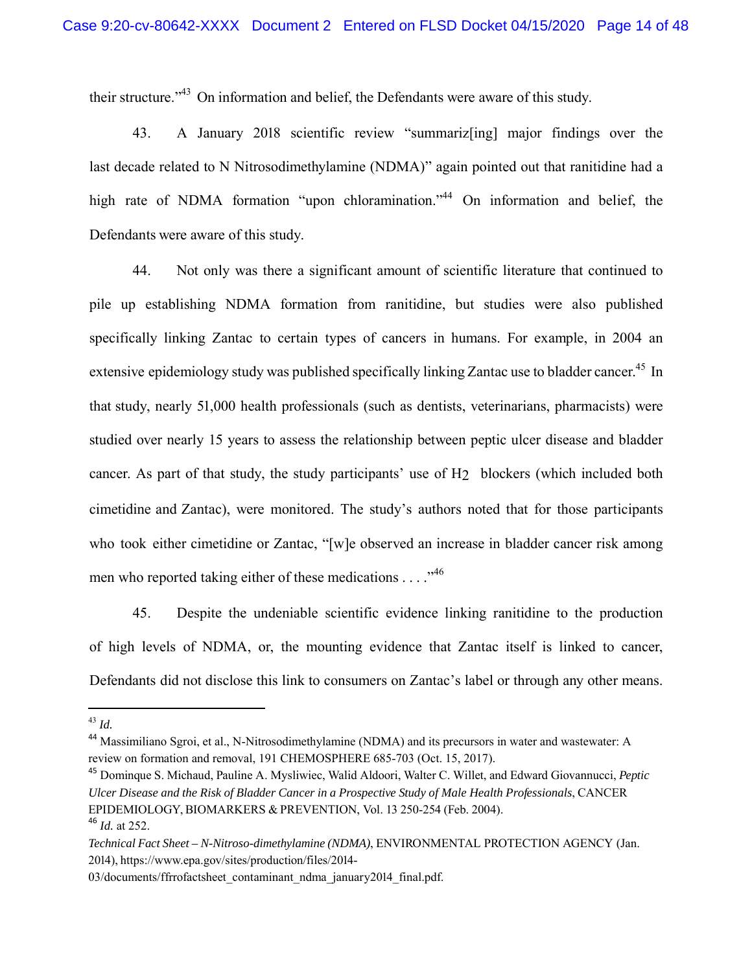their structure."43 On information and belief, the Defendants were aware of this study.

43. A January 2018 scientific review "summariz[ing] major findings over the last decade related to N Nitrosodimethylamine (NDMA)" again pointed out that ranitidine had a high rate of NDMA formation "upon chloramination."<sup>44</sup> On information and belief, the Defendants were aware of this study.

44. Not only was there a significant amount of scientific literature that continued to pile up establishing NDMA formation from ranitidine, but studies were also published specifically linking Zantac to certain types of cancers in humans. For example, in 2004 an extensive epidemiology study was published specifically linking Zantac use to bladder cancer.<sup>45</sup> In that study, nearly 51,000 health professionals (such as dentists, veterinarians, pharmacists) were studied over nearly 15 years to assess the relationship between peptic ulcer disease and bladder cancer. As part of that study, the study participants' use of H2 blockers (which included both cimetidine and Zantac), were monitored. The study's authors noted that for those participants who took either cimetidine or Zantac, "[w]e observed an increase in bladder cancer risk among men who reported taking either of these medications  $\dots$  ."<sup>46</sup>

45. Despite the undeniable scientific evidence linking ranitidine to the production of high levels of NDMA, or, the mounting evidence that Zantac itself is linked to cancer, Defendants did not disclose this link to consumers on Zantac's label or through any other means.

<sup>43</sup> *Id.*

<sup>&</sup>lt;sup>44</sup> Massimiliano Sgroi, et al., N-Nitrosodimethylamine (NDMA) and its precursors in water and wastewater: A review on formation and removal, 191 CHEMOSPHERE 685-703 (Oct. 15, 2017).

<sup>45</sup> Dominque S. Michaud, Pauline A. Mysliwiec, Walid Aldoori, Walter C. Willet, and Edward Giovannucci, *Peptic Ulcer Disease and the Risk of Bladder Cancer in a Prospective Study of Male Health Professionals*, CANCER EPIDEMIOLOGY, BIOMARKERS & PREVENTION, Vol. 13 250-254 (Feb. 2004). <sup>46</sup> *Id.* at 252.

*Technical Fact Sheet – N-Nitroso-dimethylamine (NDMA)*, ENVIRONMENTAL PROTECTION AGENCY (Jan. 2014), https://www.epa.gov/sites/production/files/2014-

<sup>03/</sup>documents/ffrrofactsheet\_contaminant\_ndma\_january2014\_final.pdf.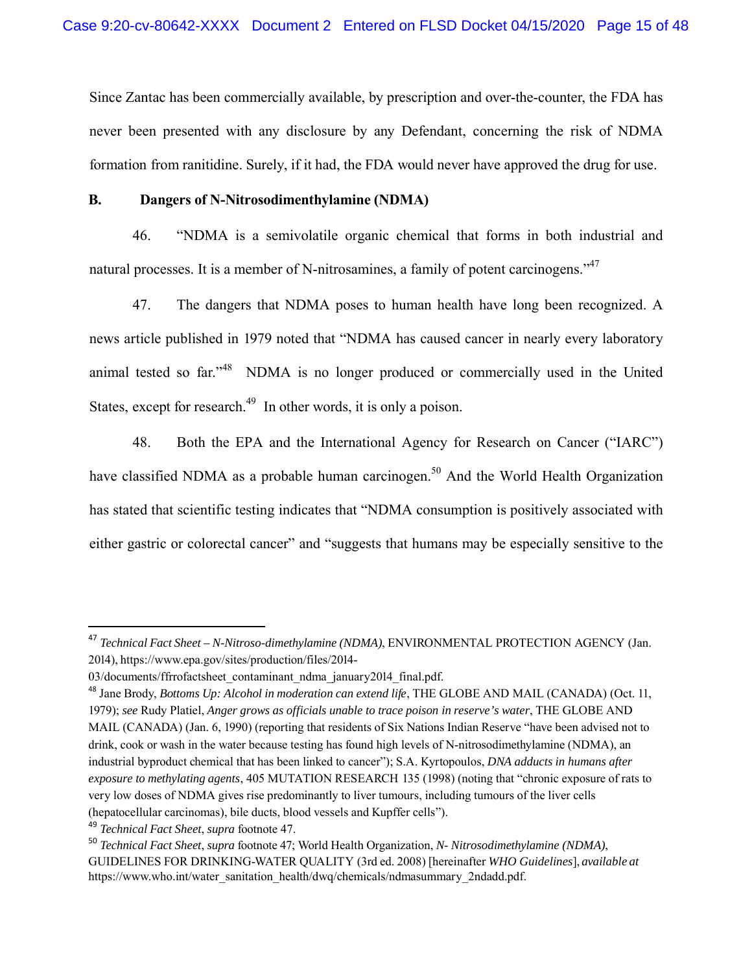Since Zantac has been commercially available, by prescription and over-the-counter, the FDA has never been presented with any disclosure by any Defendant, concerning the risk of NDMA formation from ranitidine. Surely, if it had, the FDA would never have approved the drug for use.

## **B. Dangers of N-Nitrosodimenthylamine (NDMA)**

46. "NDMA is a semivolatile organic chemical that forms in both industrial and natural processes. It is a member of N-nitrosamines, a family of potent carcinogens."<sup>47</sup>

47. The dangers that NDMA poses to human health have long been recognized. A news article published in 1979 noted that "NDMA has caused cancer in nearly every laboratory animal tested so far."<sup>48</sup> NDMA is no longer produced or commercially used in the United States, except for research.<sup>49</sup> In other words, it is only a poison.

48. Both the EPA and the International Agency for Research on Cancer ("IARC") have classified NDMA as a probable human carcinogen.<sup>50</sup> And the World Health Organization has stated that scientific testing indicates that "NDMA consumption is positively associated with either gastric or colorectal cancer" and "suggests that humans may be especially sensitive to the

<sup>47</sup> *Technical Fact Sheet – N-Nitroso-dimethylamine (NDMA)*, ENVIRONMENTAL PROTECTION AGENCY (Jan. 2014), https://www.epa.gov/sites/production/files/2014-

<sup>03/</sup>documents/ffrrofactsheet\_contaminant\_ndma\_january2014\_final.pdf.

<sup>48</sup> Jane Brody, *Bottoms Up: Alcohol in moderation can extend life*, THE GLOBE AND MAIL (CANADA) (Oct. 11, 1979); *see* Rudy Platiel, *Anger grows as officials unable to trace poison in reserve's water*, THE GLOBE AND MAIL (CANADA) (Jan. 6, 1990) (reporting that residents of Six Nations Indian Reserve "have been advised not to drink, cook or wash in the water because testing has found high levels of N-nitrosodimethylamine (NDMA), an industrial byproduct chemical that has been linked to cancer"); S.A. Kyrtopoulos, *DNA adducts in humans after exposure to methylating agents*, 405 MUTATION RESEARCH 135 (1998) (noting that "chronic exposure of rats to very low doses of NDMA gives rise predominantly to liver tumours, including tumours of the liver cells (hepatocellular carcinomas), bile ducts, blood vessels and Kupffer cells").

<sup>49</sup> *Technical Fact Sheet*, *supra* footnote 47.

<sup>50</sup> *Technical Fact Sheet*, *supra* footnote 47; World Health Organization, *N- Nitrosodimethylamine (NDMA)*, GUIDELINES FOR DRINKING-WATER QUALITY (3rd ed. 2008) [hereinafter *WHO Guidelines*], *available at*  https://www.who.int/water\_sanitation\_health/dwq/chemicals/ndmasummary\_2ndadd.pdf.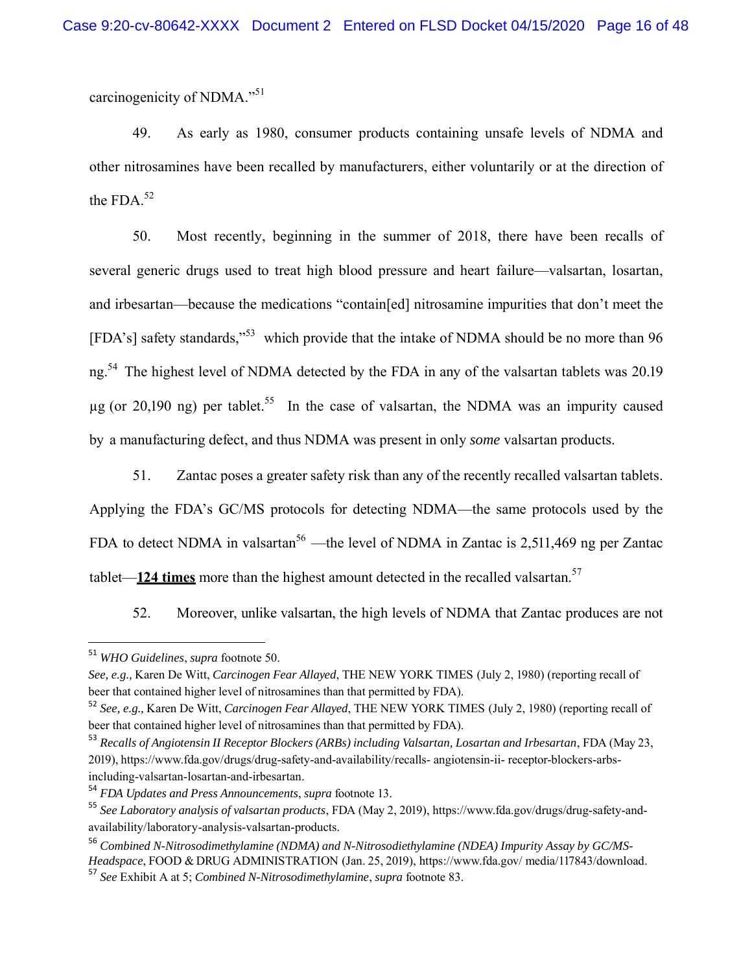carcinogenicity of NDMA."<sup>51</sup>

49. As early as 1980, consumer products containing unsafe levels of NDMA and other nitrosamines have been recalled by manufacturers, either voluntarily or at the direction of the FDA. $52$ 

50. Most recently, beginning in the summer of 2018, there have been recalls of several generic drugs used to treat high blood pressure and heart failure—valsartan, losartan, and irbesartan—because the medications "contain[ed] nitrosamine impurities that don't meet the [FDA's] safety standards,"<sup>53</sup> which provide that the intake of NDMA should be no more than 96 ng.<sup>54</sup> The highest level of NDMA detected by the FDA in any of the valsartan tablets was 20.19  $\mu$ g (or 20,190 ng) per tablet.<sup>55</sup> In the case of valsartan, the NDMA was an impurity caused by a manufacturing defect, and thus NDMA was present in only *some* valsartan products.

51. Zantac poses a greater safety risk than any of the recently recalled valsartan tablets. Applying the FDA's GC/MS protocols for detecting NDMA—the same protocols used by the FDA to detect NDMA in valsartan<sup>56</sup> —the level of NDMA in Zantac is 2,511,469 ng per Zantac tablet—**124 times** more than the highest amount detected in the recalled valsartan. 57

52. Moreover, unlike valsartan, the high levels of NDMA that Zantac produces are not

 <sup>51</sup> *WHO Guidelines*, *supra* footnote 50.

*See, e.g.,* Karen De Witt, *Carcinogen Fear Allayed*, THE NEW YORK TIMES (July 2, 1980) (reporting recall of beer that contained higher level of nitrosamines than that permitted by FDA).

<sup>52</sup> *See, e.g.,* Karen De Witt, *Carcinogen Fear Allayed*, THE NEW YORK TIMES (July 2, 1980) (reporting recall of beer that contained higher level of nitrosamines than that permitted by FDA).

<sup>53</sup> *Recalls of Angiotensin II Receptor Blockers (ARBs) including Valsartan, Losartan and Irbesartan*, FDA (May 23, 2019), https://www.fda.gov/drugs/drug-safety-and-availability/recalls- angiotensin-ii- receptor-blockers-arbsincluding-valsartan-losartan-and-irbesartan.

<sup>54</sup> *FDA Updates and Press Announcements*, *supra* footnote 13.

<sup>55</sup> *See Laboratory analysis of valsartan products*, FDA (May 2, 2019), https://www.fda.gov/drugs/drug-safety-andavailability/laboratory-analysis-valsartan-products.

<sup>56</sup> *Combined N-Nitrosodimethylamine (NDMA) and N-Nitrosodiethylamine (NDEA) Impurity Assay by GC/MS-Headspace*, FOOD & DRUG ADMINISTRATION (Jan. 25, 2019), https://www.fda.gov/ media/117843/download.

<sup>57</sup> *See* Exhibit A at 5; *Combined N-Nitrosodimethylamine*, *supra* footnote 83.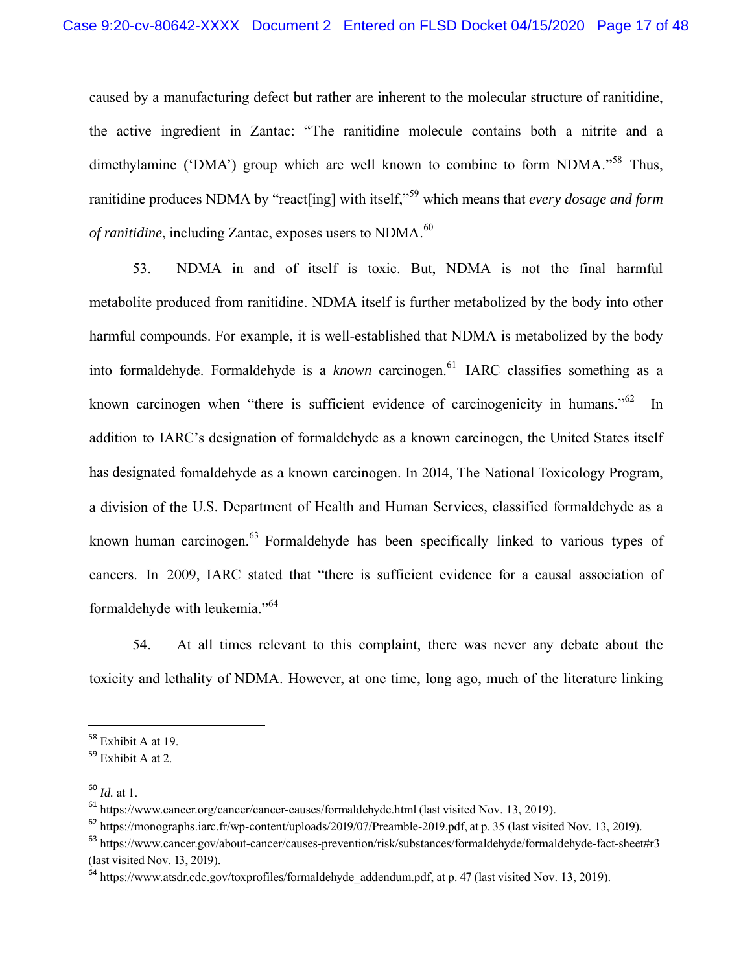caused by a manufacturing defect but rather are inherent to the molecular structure of ranitidine, the active ingredient in Zantac: "The ranitidine molecule contains both a nitrite and a dimethylamine ('DMA') group which are well known to combine to form NDMA.<sup> $58$ </sup> Thus, ranitidine produces NDMA by "react[ing] with itself,"59 which means that *every dosage and form of ranitidine*, including Zantac, exposes users to NDMA.<sup>60</sup>

53. NDMA in and of itself is toxic. But, NDMA is not the final harmful metabolite produced from ranitidine. NDMA itself is further metabolized by the body into other harmful compounds. For example, it is well-established that NDMA is metabolized by the body into formaldehyde. Formaldehyde is a *known* carcinogen.<sup>61</sup> IARC classifies something as a known carcinogen when "there is sufficient evidence of carcinogenicity in humans."<sup>62</sup> In addition to IARC's designation of formaldehyde as a known carcinogen, the United States itself has designated fomaldehyde as a known carcinogen. In 2014, The National Toxicology Program, a division of the U.S. Department of Health and Human Services, classified formaldehyde as a known human carcinogen.<sup>63</sup> Formaldehyde has been specifically linked to various types of cancers. In 2009, IARC stated that "there is sufficient evidence for a causal association of formaldehyde with leukemia."<sup>64</sup>

54. At all times relevant to this complaint, there was never any debate about the toxicity and lethality of NDMA. However, at one time, long ago, much of the literature linking

<sup>58</sup> Exhibit A at 19.

<sup>59</sup> Exhibit A at 2.

<sup>60</sup> *Id.* at 1.

<sup>61</sup> https://www.cancer.org/cancer/cancer-causes/formaldehyde.html (last visited Nov. 13, 2019).

<sup>62</sup> https://monographs.iarc.fr/wp-content/uploads/2019/07/Preamble-2019.pdf, at p. 35 (last visited Nov. 13, 2019).

<sup>63</sup> https://www.cancer.gov/about-cancer/causes-prevention/risk/substances/formaldehyde/formaldehyde-fact-sheet#r3 (last visited Nov. 13, 2019).

<sup>&</sup>lt;sup>64</sup> https://www.atsdr.cdc.gov/toxprofiles/formaldehyde\_addendum.pdf, at p. 47 (last visited Nov. 13, 2019).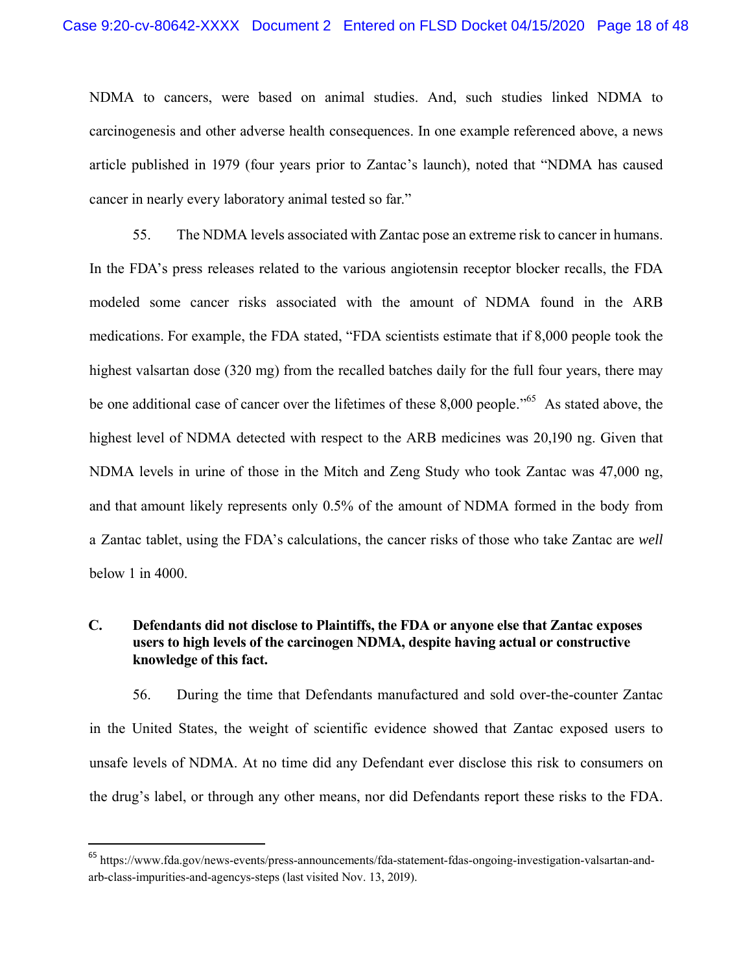NDMA to cancers, were based on animal studies. And, such studies linked NDMA to carcinogenesis and other adverse health consequences. In one example referenced above, a news article published in 1979 (four years prior to Zantac's launch), noted that "NDMA has caused cancer in nearly every laboratory animal tested so far."

55. The NDMA levels associated with Zantac pose an extreme risk to cancer in humans. In the FDA's press releases related to the various angiotensin receptor blocker recalls, the FDA modeled some cancer risks associated with the amount of NDMA found in the ARB medications. For example, the FDA stated, "FDA scientists estimate that if 8,000 people took the highest valsartan dose (320 mg) from the recalled batches daily for the full four years, there may be one additional case of cancer over the lifetimes of these 8,000 people."<sup>65</sup> As stated above, the highest level of NDMA detected with respect to the ARB medicines was 20,190 ng. Given that NDMA levels in urine of those in the Mitch and Zeng Study who took Zantac was 47,000 ng, and that amount likely represents only 0.5% of the amount of NDMA formed in the body from a Zantac tablet, using the FDA's calculations, the cancer risks of those who take Zantac are *well*  below 1 in 4000.

# **C. Defendants did not disclose to Plaintiffs, the FDA or anyone else that Zantac exposes users to high levels of the carcinogen NDMA, despite having actual or constructive knowledge of this fact.**

56. During the time that Defendants manufactured and sold over-the-counter Zantac in the United States, the weight of scientific evidence showed that Zantac exposed users to unsafe levels of NDMA. At no time did any Defendant ever disclose this risk to consumers on the drug's label, or through any other means, nor did Defendants report these risks to the FDA.

<sup>65</sup> https://www.fda.gov/news-events/press-announcements/fda-statement-fdas-ongoing-investigation-valsartan-andarb-class-impurities-and-agencys-steps (last visited Nov. 13, 2019).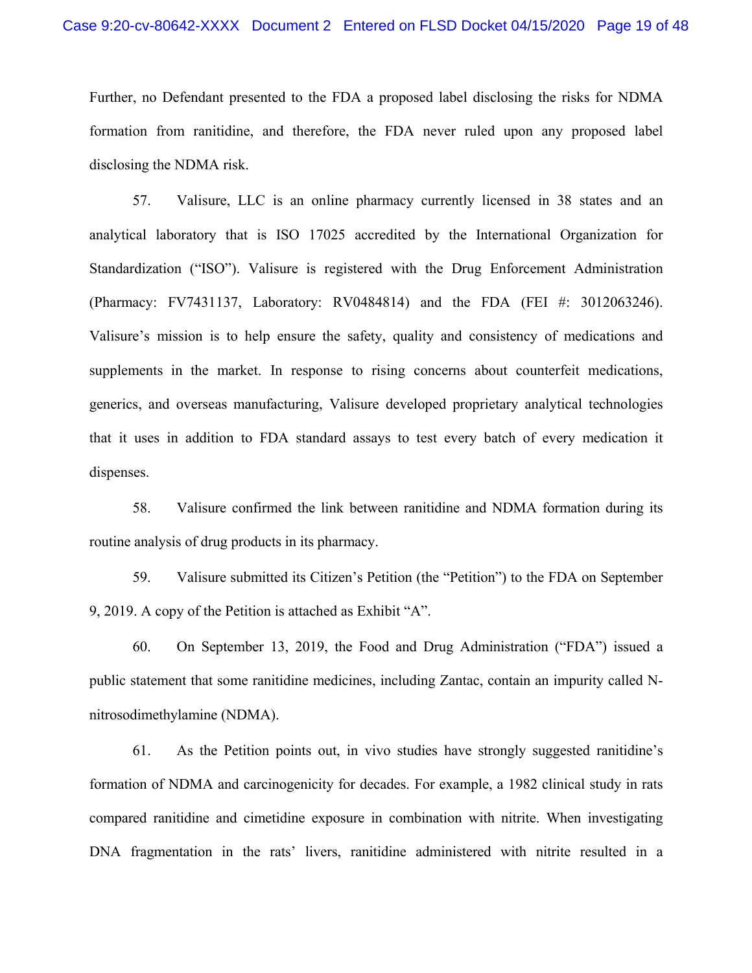Further, no Defendant presented to the FDA a proposed label disclosing the risks for NDMA formation from ranitidine, and therefore, the FDA never ruled upon any proposed label disclosing the NDMA risk.

57. Valisure, LLC is an online pharmacy currently licensed in 38 states and an analytical laboratory that is ISO 17025 accredited by the International Organization for Standardization ("ISO"). Valisure is registered with the Drug Enforcement Administration (Pharmacy: FV7431137, Laboratory: RV0484814) and the FDA (FEI #: 3012063246). Valisure's mission is to help ensure the safety, quality and consistency of medications and supplements in the market. In response to rising concerns about counterfeit medications, generics, and overseas manufacturing, Valisure developed proprietary analytical technologies that it uses in addition to FDA standard assays to test every batch of every medication it dispenses.

58. Valisure confirmed the link between ranitidine and NDMA formation during its routine analysis of drug products in its pharmacy.

59. Valisure submitted its Citizen's Petition (the "Petition") to the FDA on September 9, 2019. A copy of the Petition is attached as Exhibit "A".

60. On September 13, 2019, the Food and Drug Administration ("FDA") issued a public statement that some ranitidine medicines, including Zantac, contain an impurity called Nnitrosodimethylamine (NDMA).

61. As the Petition points out, in vivo studies have strongly suggested ranitidine's formation of NDMA and carcinogenicity for decades. For example, a 1982 clinical study in rats compared ranitidine and cimetidine exposure in combination with nitrite. When investigating DNA fragmentation in the rats' livers, ranitidine administered with nitrite resulted in a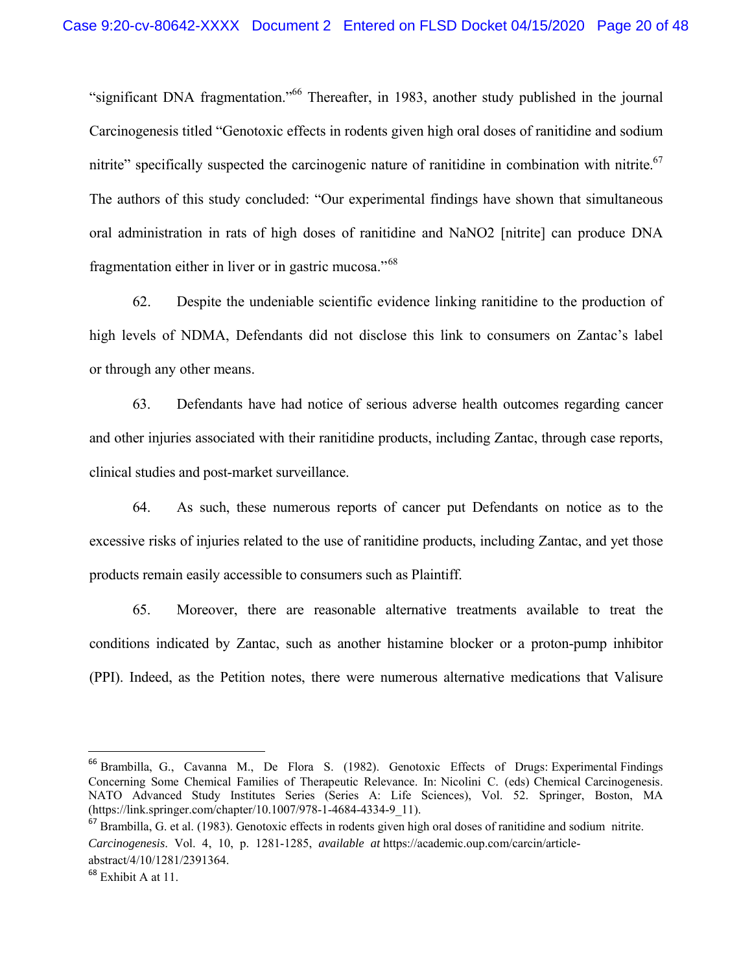"significant DNA fragmentation."66 Thereafter, in 1983, another study published in the journal Carcinogenesis titled "Genotoxic effects in rodents given high oral doses of ranitidine and sodium nitrite" specifically suspected the carcinogenic nature of ranitidine in combination with nitrite.<sup>67</sup> The authors of this study concluded: "Our experimental findings have shown that simultaneous oral administration in rats of high doses of ranitidine and NaNO2 [nitrite] can produce DNA fragmentation either in liver or in gastric mucosa."<sup>68</sup>

62. Despite the undeniable scientific evidence linking ranitidine to the production of high levels of NDMA, Defendants did not disclose this link to consumers on Zantac's label or through any other means.

63. Defendants have had notice of serious adverse health outcomes regarding cancer and other injuries associated with their ranitidine products, including Zantac, through case reports, clinical studies and post-market surveillance.

64. As such, these numerous reports of cancer put Defendants on notice as to the excessive risks of injuries related to the use of ranitidine products, including Zantac, and yet those products remain easily accessible to consumers such as Plaintiff.

65. Moreover, there are reasonable alternative treatments available to treat the conditions indicated by Zantac, such as another histamine blocker or a proton-pump inhibitor (PPI). Indeed, as the Petition notes, there were numerous alternative medications that Valisure

<sup>&</sup>lt;sup>66</sup> Brambilla, G., Cavanna M., De Flora S. (1982). Genotoxic Effects of Drugs: Experimental Findings Concerning Some Chemical Families of Therapeutic Relevance. In: Nicolini C. (eds) Chemical Carcinogenesis. NATO Advanced Study Institutes Series (Series A: Life Sciences), Vol. 52. Springer, Boston, MA (https://link.springer.com/chapter/10.1007/978-1-4684-4334-9\_11).

 $67$  Brambilla, G. et al. (1983). Genotoxic effects in rodents given high oral doses of ranitidine and sodium nitrite. *Carcinogenesis*. Vol. 4, 10, p. 1281-1285, *available at* https://academic.oup.com/carcin/articleabstract/4/10/1281/2391364.

 $68$  Exhibit A at 11.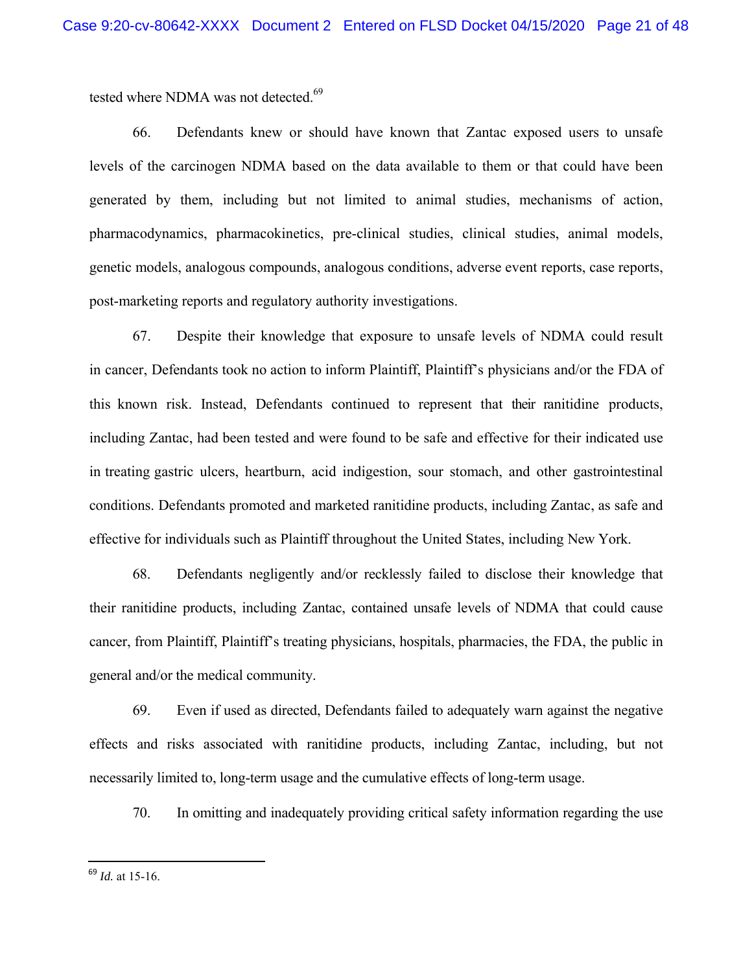tested where NDMA was not detected.<sup>69</sup>

66. Defendants knew or should have known that Zantac exposed users to unsafe levels of the carcinogen NDMA based on the data available to them or that could have been generated by them, including but not limited to animal studies, mechanisms of action, pharmacodynamics, pharmacokinetics, pre-clinical studies, clinical studies, animal models, genetic models, analogous compounds, analogous conditions, adverse event reports, case reports, post-marketing reports and regulatory authority investigations.

67. Despite their knowledge that exposure to unsafe levels of NDMA could result in cancer, Defendants took no action to inform Plaintiff, Plaintiff's physicians and/or the FDA of this known risk. Instead, Defendants continued to represent that their ranitidine products, including Zantac, had been tested and were found to be safe and effective for their indicated use in treating gastric ulcers, heartburn, acid indigestion, sour stomach, and other gastrointestinal conditions. Defendants promoted and marketed ranitidine products, including Zantac, as safe and effective for individuals such as Plaintiff throughout the United States, including New York.

68. Defendants negligently and/or recklessly failed to disclose their knowledge that their ranitidine products, including Zantac, contained unsafe levels of NDMA that could cause cancer, from Plaintiff, Plaintiff's treating physicians, hospitals, pharmacies, the FDA, the public in general and/or the medical community.

69. Even if used as directed, Defendants failed to adequately warn against the negative effects and risks associated with ranitidine products, including Zantac, including, but not necessarily limited to, long-term usage and the cumulative effects of long-term usage.

70. In omitting and inadequately providing critical safety information regarding the use

<sup>69</sup> *Id.* at 15-16.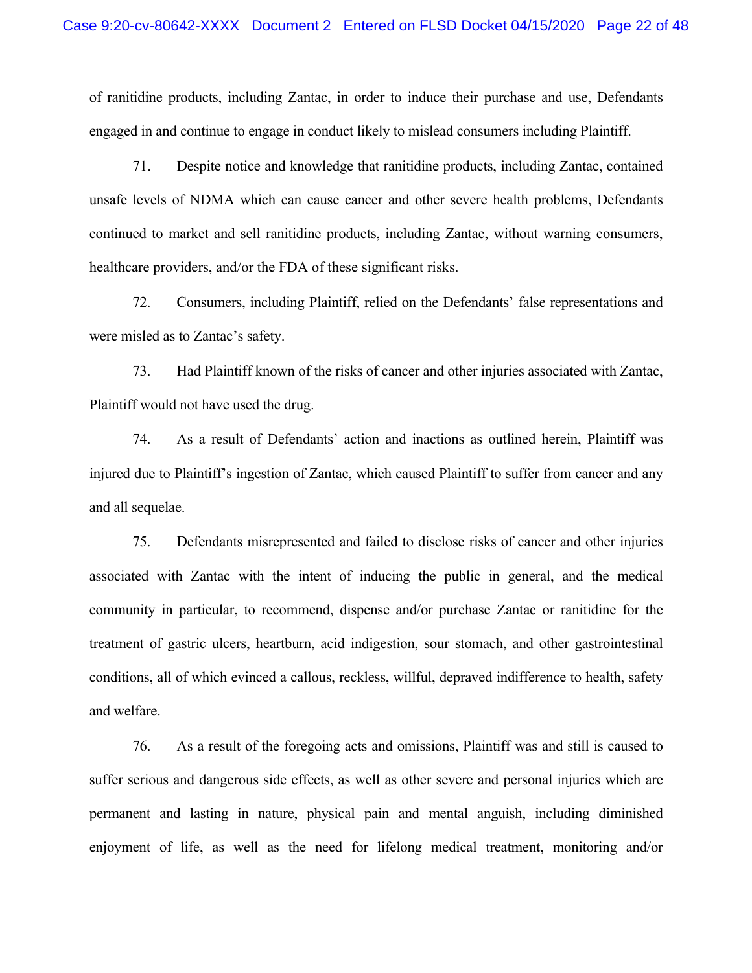of ranitidine products, including Zantac, in order to induce their purchase and use, Defendants engaged in and continue to engage in conduct likely to mislead consumers including Plaintiff.

71. Despite notice and knowledge that ranitidine products, including Zantac, contained unsafe levels of NDMA which can cause cancer and other severe health problems, Defendants continued to market and sell ranitidine products, including Zantac, without warning consumers, healthcare providers, and/or the FDA of these significant risks.

72. Consumers, including Plaintiff, relied on the Defendants' false representations and were misled as to Zantac's safety.

73. Had Plaintiff known of the risks of cancer and other injuries associated with Zantac, Plaintiff would not have used the drug.

74. As a result of Defendants' action and inactions as outlined herein, Plaintiff was injured due to Plaintiff's ingestion of Zantac, which caused Plaintiff to suffer from cancer and any and all sequelae.

75. Defendants misrepresented and failed to disclose risks of cancer and other injuries associated with Zantac with the intent of inducing the public in general, and the medical community in particular, to recommend, dispense and/or purchase Zantac or ranitidine for the treatment of gastric ulcers, heartburn, acid indigestion, sour stomach, and other gastrointestinal conditions, all of which evinced a callous, reckless, willful, depraved indifference to health, safety and welfare.

76. As a result of the foregoing acts and omissions, Plaintiff was and still is caused to suffer serious and dangerous side effects, as well as other severe and personal injuries which are permanent and lasting in nature, physical pain and mental anguish, including diminished enjoyment of life, as well as the need for lifelong medical treatment, monitoring and/or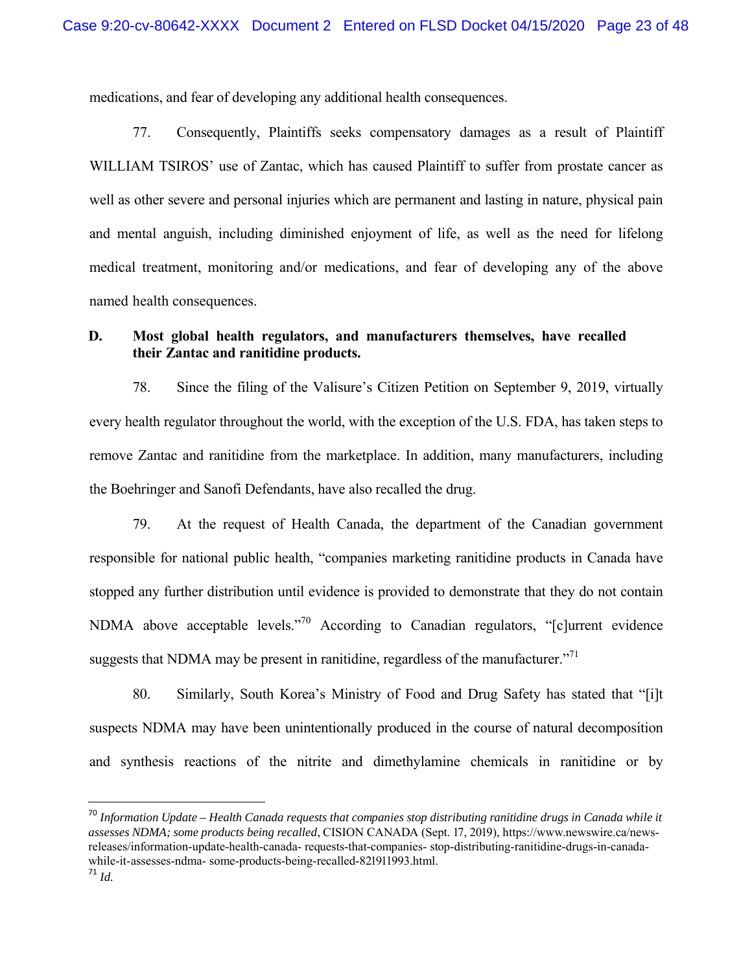medications, and fear of developing any additional health consequences.

77. Consequently, Plaintiffs seeks compensatory damages as a result of Plaintiff WILLIAM TSIROS' use of Zantac, which has caused Plaintiff to suffer from prostate cancer as well as other severe and personal injuries which are permanent and lasting in nature, physical pain and mental anguish, including diminished enjoyment of life, as well as the need for lifelong medical treatment, monitoring and/or medications, and fear of developing any of the above named health consequences.

## **D. Most global health regulators, and manufacturers themselves, have recalled their Zantac and ranitidine products.**

78. Since the filing of the Valisure's Citizen Petition on September 9, 2019, virtually every health regulator throughout the world, with the exception of the U.S. FDA, has taken steps to remove Zantac and ranitidine from the marketplace. In addition, many manufacturers, including the Boehringer and Sanofi Defendants, have also recalled the drug.

79. At the request of Health Canada, the department of the Canadian government responsible for national public health, "companies marketing ranitidine products in Canada have stopped any further distribution until evidence is provided to demonstrate that they do not contain NDMA above acceptable levels."<sup>70</sup> According to Canadian regulators, "[c]urrent evidence suggests that NDMA may be present in ranitidine, regardless of the manufacturer. $171$ 

80. Similarly, South Korea's Ministry of Food and Drug Safety has stated that "[i]t suspects NDMA may have been unintentionally produced in the course of natural decomposition and synthesis reactions of the nitrite and dimethylamine chemicals in ranitidine or by

<sup>70</sup> *Information Update – Health Canada requests that companies stop distributing ranitidine drugs in Canada while it assesses NDMA; some products being recalled*, CISION CANADA (Sept. 17, 2019), https://www.newswire.ca/newsreleases/information-update-health-canada- requests-that-companies- stop-distributing-ranitidine-drugs-in-canadawhile-it-assesses-ndma- some-products-being-recalled-821911993.html. <sup>71</sup> *Id.*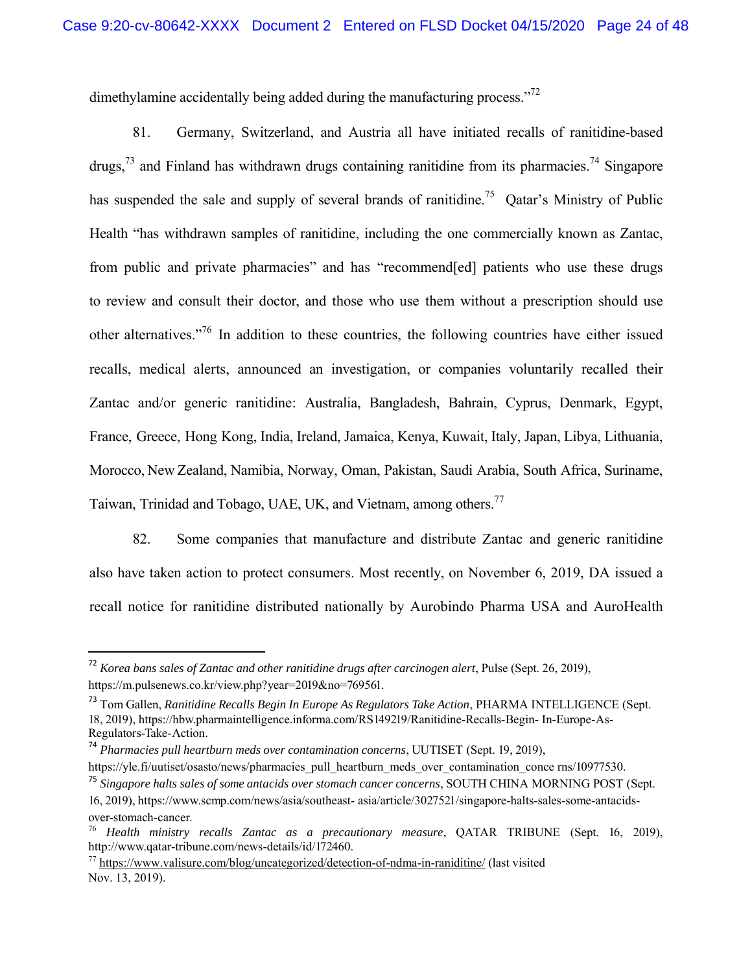dimethylamine accidentally being added during the manufacturing process."<sup>72</sup>

81. Germany, Switzerland, and Austria all have initiated recalls of ranitidine-based drugs,  $^{73}$  and Finland has withdrawn drugs containing ranitidine from its pharmacies.<sup>74</sup> Singapore has suspended the sale and supply of several brands of ranitidine.<sup>75</sup> Qatar's Ministry of Public Health "has withdrawn samples of ranitidine, including the one commercially known as Zantac, from public and private pharmacies" and has "recommend[ed] patients who use these drugs to review and consult their doctor, and those who use them without a prescription should use other alternatives."<sup>76</sup> In addition to these countries, the following countries have either issued recalls, medical alerts, announced an investigation, or companies voluntarily recalled their Zantac and/or generic ranitidine: Australia, Bangladesh, Bahrain, Cyprus, Denmark, Egypt, France, Greece, Hong Kong, India, Ireland, Jamaica, Kenya, Kuwait, Italy, Japan, Libya, Lithuania, Morocco, New Zealand, Namibia, Norway, Oman, Pakistan, Saudi Arabia, South Africa, Suriname, Taiwan, Trinidad and Tobago, UAE, UK, and Vietnam, among others.<sup>77</sup>

82. Some companies that manufacture and distribute Zantac and generic ranitidine also have taken action to protect consumers. Most recently, on November 6, 2019, DA issued a recall notice for ranitidine distributed nationally by Aurobindo Pharma USA and AuroHealth

<sup>72</sup> *Korea bans sales of Zantac and other ranitidine drugs after carcinogen alert*, Pulse (Sept. 26, 2019), https://m.pulsenews.co.kr/view.php?year=2019&no=769561.

<sup>73</sup> Tom Gallen, *Ranitidine Recalls Begin In Europe As Regulators Take Action*, PHARMA INTELLIGENCE (Sept. 18, 2019), https://hbw.pharmaintelligence.informa.com/RS149219/Ranitidine-Recalls-Begin- In-Europe-As-Regulators-Take-Action.

<sup>74</sup> *Pharmacies pull heartburn meds over contamination concerns*, UUTISET (Sept. 19, 2019),

https://yle.fi/uutiset/osasto/news/pharmacies\_pull\_heartburn\_meds\_over\_contamination\_conce rns/10977530.

<sup>75</sup> *Singapore halts sales of some antacids over stomach cancer concerns*, SOUTH CHINA MORNING POST (Sept. 16, 2019), https://www.scmp.com/news/asia/southeast- asia/article/3027521/singapore-halts-sales-some-antacids-

over-stomach-cancer.

<sup>76</sup> *Health ministry recalls Zantac as a precautionary measure*, QATAR TRIBUNE (Sept. 16, 2019), http://www.qatar-tribune.com/news-details/id/172460.

 $77$  https://www.valisure.com/blog/uncategorized/detection-of-ndma-in-raniditine/ (last visited Nov. 13, 2019).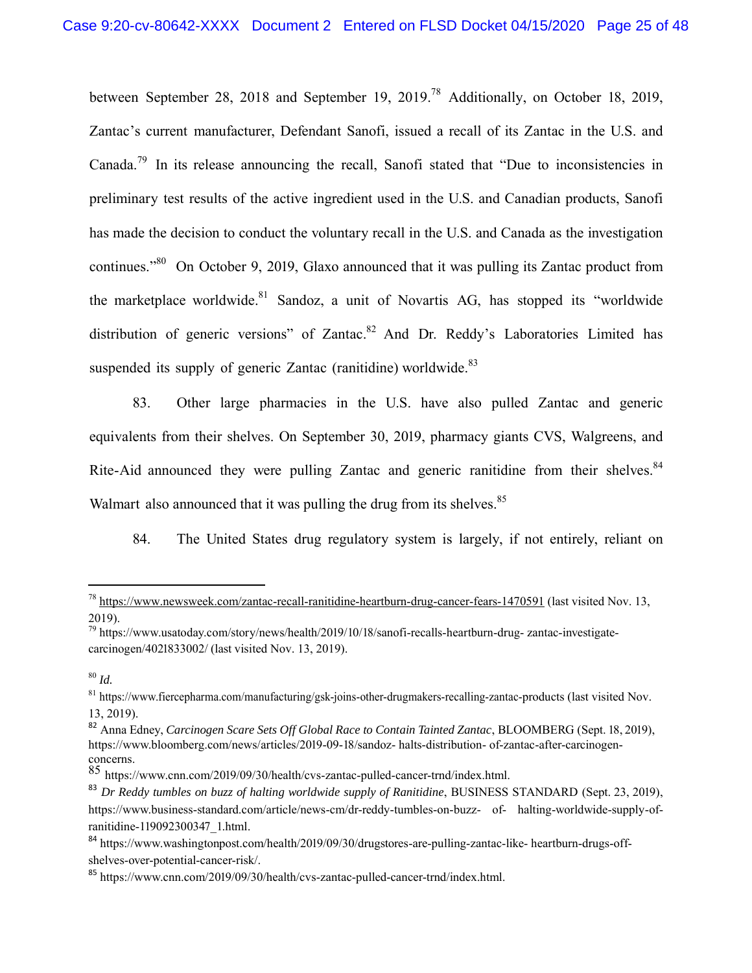between September 28, 2018 and September 19, 2019.<sup>78</sup> Additionally, on October 18, 2019, Zantac's current manufacturer, Defendant Sanofi, issued a recall of its Zantac in the U.S. and Canada.<sup>79</sup> In its release announcing the recall, Sanofi stated that "Due to inconsistencies in preliminary test results of the active ingredient used in the U.S. and Canadian products, Sanofi has made the decision to conduct the voluntary recall in the U.S. and Canada as the investigation continues."<sup>80</sup> On October 9, 2019, Glaxo announced that it was pulling its Zantac product from the marketplace worldwide.<sup>81</sup> Sandoz, a unit of Novartis AG, has stopped its "worldwide distribution of generic versions" of Zantac.<sup>82</sup> And Dr. Reddy's Laboratories Limited has suspended its supply of generic Zantac (ranitidine) worldwide. $83$ 

83. Other large pharmacies in the U.S. have also pulled Zantac and generic equivalents from their shelves. On September 30, 2019, pharmacy giants CVS, Walgreens, and Rite-Aid announced they were pulling Zantac and generic ranitidine from their shelves.<sup>84</sup> Walmart also announced that it was pulling the drug from its shelves.<sup>85</sup>

84. The United States drug regulatory system is largely, if not entirely, reliant on

<sup>78</sup> https://www.newsweek.com/zantac-recall-ranitidine-heartburn-drug-cancer-fears-1470591 (last visited Nov. 13, 2019).

 $^{79}$  https://www.usatoday.com/story/news/health/2019/10/18/sanofi-recalls-heartburn-drug- zantac-investigatecarcinogen/4021833002/ (last visited Nov. 13, 2019).

<sup>80</sup> *Id.*

<sup>&</sup>lt;sup>81</sup> https://www.fiercepharma.com/manufacturing/gsk-joins-other-drugmakers-recalling-zantac-products (last visited Nov. 13, 2019).

<sup>82</sup> Anna Edney, *Carcinogen Scare Sets Off Global Race to Contain Tainted Zantac*, BLOOMBERG (Sept. 18, 2019), https://www.bloomberg.com/news/articles/2019-09-18/sandoz- halts-distribution- of-zantac-after-carcinogenconcerns.

<sup>85</sup> https://www.cnn.com/2019/09/30/health/cvs-zantac-pulled-cancer-trnd/index.html.

<sup>83</sup> *Dr Reddy tumbles on buzz of halting worldwide supply of Ranitidine*, BUSINESS STANDARD (Sept. 23, 2019), https://www.business-standard.com/article/news-cm/dr-reddy-tumbles-on-buzz- of- halting-worldwide-supply-ofranitidine-119092300347\_1.html.

<sup>84</sup> https://www.washingtonpost.com/health/2019/09/30/drugstores-are-pulling-zantac-like- heartburn-drugs-offshelves-over-potential-cancer-risk/.

<sup>85</sup> https://www.cnn.com/2019/09/30/health/cvs-zantac-pulled-cancer-trnd/index.html.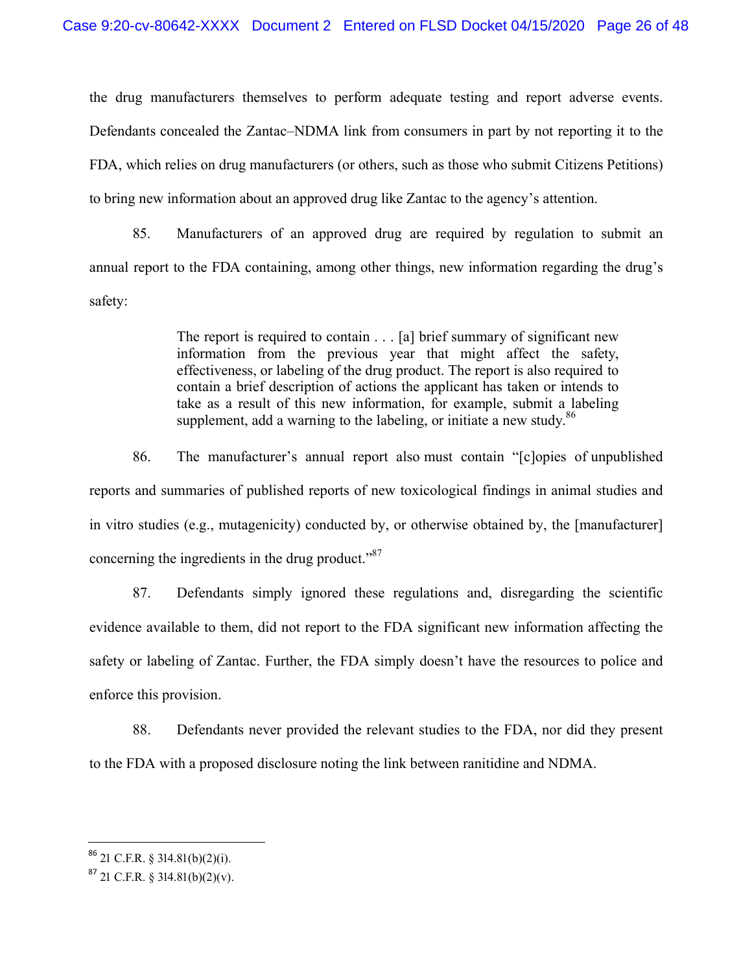the drug manufacturers themselves to perform adequate testing and report adverse events. Defendants concealed the Zantac–NDMA link from consumers in part by not reporting it to the FDA, which relies on drug manufacturers (or others, such as those who submit Citizens Petitions) to bring new information about an approved drug like Zantac to the agency's attention.

85. Manufacturers of an approved drug are required by regulation to submit an annual report to the FDA containing, among other things, new information regarding the drug's safety:

> The report is required to contain . . . [a] brief summary of significant new information from the previous year that might affect the safety, effectiveness, or labeling of the drug product. The report is also required to contain a brief description of actions the applicant has taken or intends to take as a result of this new information, for example, submit a labeling supplement, add a warning to the labeling, or initiate a new study.<sup>86</sup>

86. The manufacturer's annual report also must contain "[c]opies of unpublished reports and summaries of published reports of new toxicological findings in animal studies and in vitro studies (e.g., mutagenicity) conducted by, or otherwise obtained by, the [manufacturer] concerning the ingredients in the drug product. $\cdot$ <sup>87</sup>

87. Defendants simply ignored these regulations and, disregarding the scientific evidence available to them, did not report to the FDA significant new information affecting the safety or labeling of Zantac. Further, the FDA simply doesn't have the resources to police and enforce this provision.

88. Defendants never provided the relevant studies to the FDA, nor did they present to the FDA with a proposed disclosure noting the link between ranitidine and NDMA.

 $86$  21 C.F.R. § 314.81(b)(2)(i).

 $87$  21 C.F.R. § 314.81(b)(2)(v).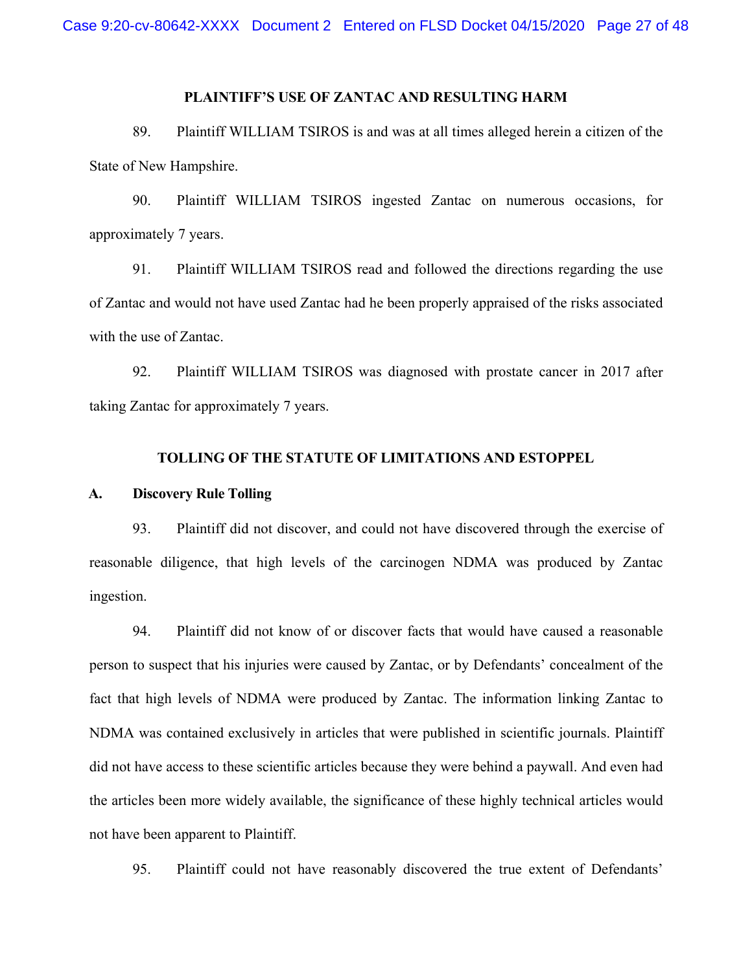## **PLAINTIFF'S USE OF ZANTAC AND RESULTING HARM**

89. Plaintiff WILLIAM TSIROS is and was at all times alleged herein a citizen of the State of New Hampshire.

90. Plaintiff WILLIAM TSIROS ingested Zantac on numerous occasions, for approximately 7 years.

91. Plaintiff WILLIAM TSIROS read and followed the directions regarding the use of Zantac and would not have used Zantac had he been properly appraised of the risks associated with the use of Zantac.

92. Plaintiff WILLIAM TSIROS was diagnosed with prostate cancer in 2017 after taking Zantac for approximately 7 years.

#### **TOLLING OF THE STATUTE OF LIMITATIONS AND ESTOPPEL**

#### **A. Discovery Rule Tolling**

93. Plaintiff did not discover, and could not have discovered through the exercise of reasonable diligence, that high levels of the carcinogen NDMA was produced by Zantac ingestion.

94. Plaintiff did not know of or discover facts that would have caused a reasonable person to suspect that his injuries were caused by Zantac, or by Defendants' concealment of the fact that high levels of NDMA were produced by Zantac. The information linking Zantac to NDMA was contained exclusively in articles that were published in scientific journals. Plaintiff did not have access to these scientific articles because they were behind a paywall. And even had the articles been more widely available, the significance of these highly technical articles would not have been apparent to Plaintiff.

95. Plaintiff could not have reasonably discovered the true extent of Defendants'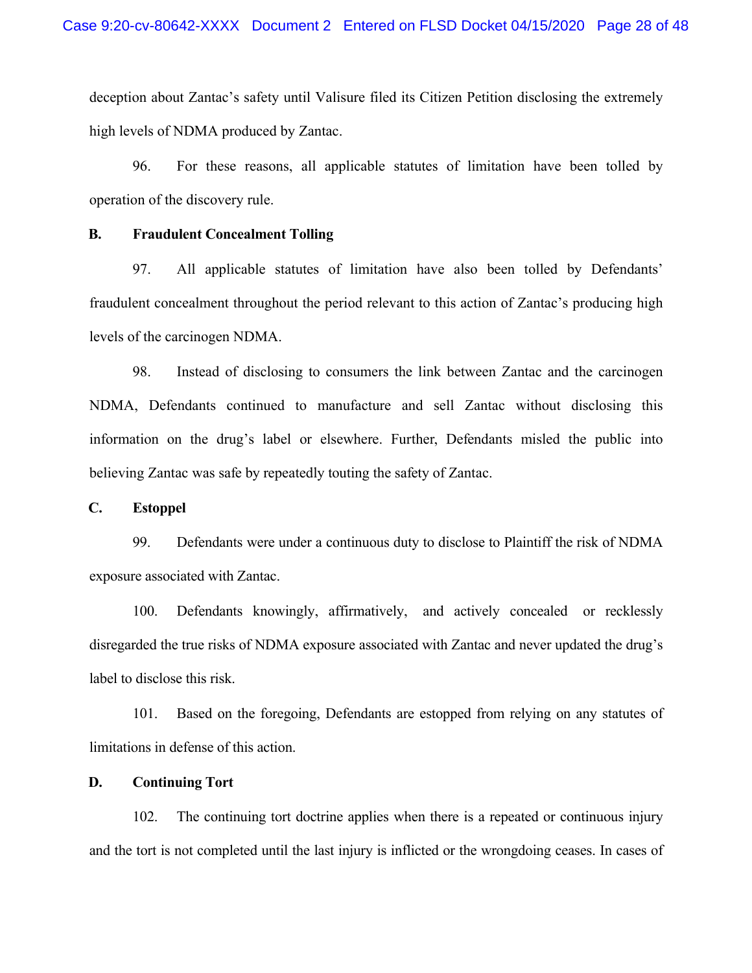deception about Zantac's safety until Valisure filed its Citizen Petition disclosing the extremely high levels of NDMA produced by Zantac.

96. For these reasons, all applicable statutes of limitation have been tolled by operation of the discovery rule.

#### **B. Fraudulent Concealment Tolling**

97. All applicable statutes of limitation have also been tolled by Defendants' fraudulent concealment throughout the period relevant to this action of Zantac's producing high levels of the carcinogen NDMA.

98. Instead of disclosing to consumers the link between Zantac and the carcinogen NDMA, Defendants continued to manufacture and sell Zantac without disclosing this information on the drug's label or elsewhere. Further, Defendants misled the public into believing Zantac was safe by repeatedly touting the safety of Zantac.

## **C. Estoppel**

99. Defendants were under a continuous duty to disclose to Plaintiff the risk of NDMA exposure associated with Zantac.

100. Defendants knowingly, affirmatively, and actively concealed or recklessly disregarded the true risks of NDMA exposure associated with Zantac and never updated the drug's label to disclose this risk.

101. Based on the foregoing, Defendants are estopped from relying on any statutes of limitations in defense of this action.

### **D. Continuing Tort**

102. The continuing tort doctrine applies when there is a repeated or continuous injury and the tort is not completed until the last injury is inflicted or the wrongdoing ceases. In cases of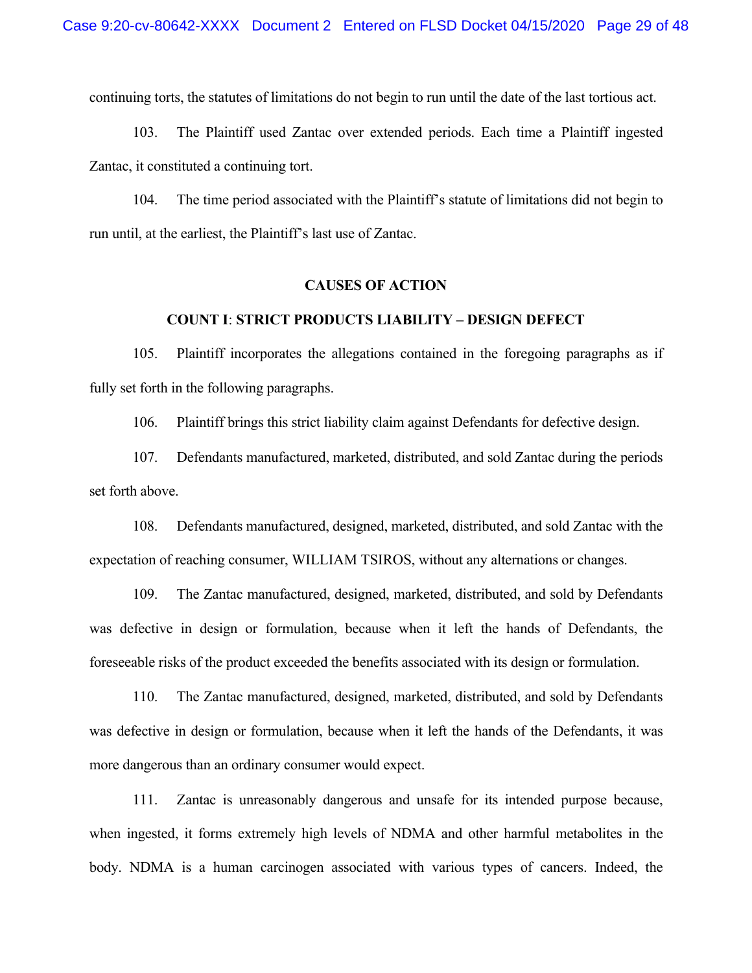continuing torts, the statutes of limitations do not begin to run until the date of the last tortious act.

103. The Plaintiff used Zantac over extended periods. Each time a Plaintiff ingested Zantac, it constituted a continuing tort.

104. The time period associated with the Plaintiff's statute of limitations did not begin to run until, at the earliest, the Plaintiff's last use of Zantac.

#### **CAUSES OF ACTION**

### **COUNT I**: **STRICT PRODUCTS LIABILITY – DESIGN DEFECT**

105. Plaintiff incorporates the allegations contained in the foregoing paragraphs as if fully set forth in the following paragraphs.

106. Plaintiff brings this strict liability claim against Defendants for defective design.

107. Defendants manufactured, marketed, distributed, and sold Zantac during the periods set forth above.

108. Defendants manufactured, designed, marketed, distributed, and sold Zantac with the expectation of reaching consumer, WILLIAM TSIROS, without any alternations or changes.

109. The Zantac manufactured, designed, marketed, distributed, and sold by Defendants was defective in design or formulation, because when it left the hands of Defendants, the foreseeable risks of the product exceeded the benefits associated with its design or formulation.

110. The Zantac manufactured, designed, marketed, distributed, and sold by Defendants was defective in design or formulation, because when it left the hands of the Defendants, it was more dangerous than an ordinary consumer would expect.

111. Zantac is unreasonably dangerous and unsafe for its intended purpose because, when ingested, it forms extremely high levels of NDMA and other harmful metabolites in the body. NDMA is a human carcinogen associated with various types of cancers. Indeed, the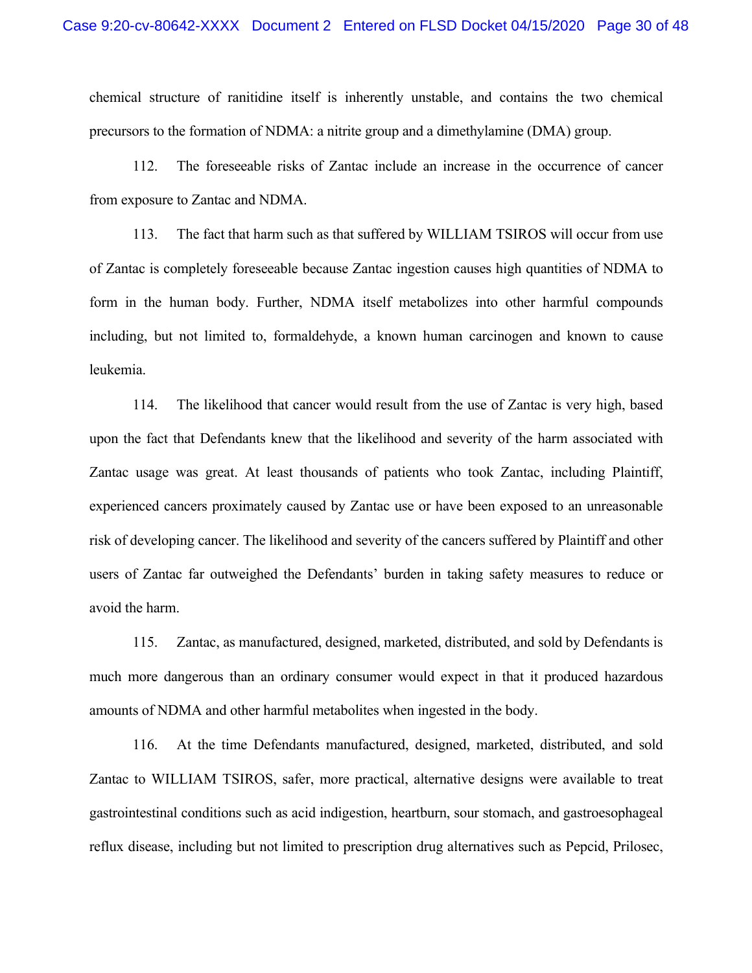chemical structure of ranitidine itself is inherently unstable, and contains the two chemical precursors to the formation of NDMA: a nitrite group and a dimethylamine (DMA) group.

112. The foreseeable risks of Zantac include an increase in the occurrence of cancer from exposure to Zantac and NDMA.

113. The fact that harm such as that suffered by WILLIAM TSIROS will occur from use of Zantac is completely foreseeable because Zantac ingestion causes high quantities of NDMA to form in the human body. Further, NDMA itself metabolizes into other harmful compounds including, but not limited to, formaldehyde, a known human carcinogen and known to cause leukemia.

114. The likelihood that cancer would result from the use of Zantac is very high, based upon the fact that Defendants knew that the likelihood and severity of the harm associated with Zantac usage was great. At least thousands of patients who took Zantac, including Plaintiff, experienced cancers proximately caused by Zantac use or have been exposed to an unreasonable risk of developing cancer. The likelihood and severity of the cancers suffered by Plaintiff and other users of Zantac far outweighed the Defendants' burden in taking safety measures to reduce or avoid the harm.

115. Zantac, as manufactured, designed, marketed, distributed, and sold by Defendants is much more dangerous than an ordinary consumer would expect in that it produced hazardous amounts of NDMA and other harmful metabolites when ingested in the body.

116. At the time Defendants manufactured, designed, marketed, distributed, and sold Zantac to WILLIAM TSIROS, safer, more practical, alternative designs were available to treat gastrointestinal conditions such as acid indigestion, heartburn, sour stomach, and gastroesophageal reflux disease, including but not limited to prescription drug alternatives such as Pepcid, Prilosec,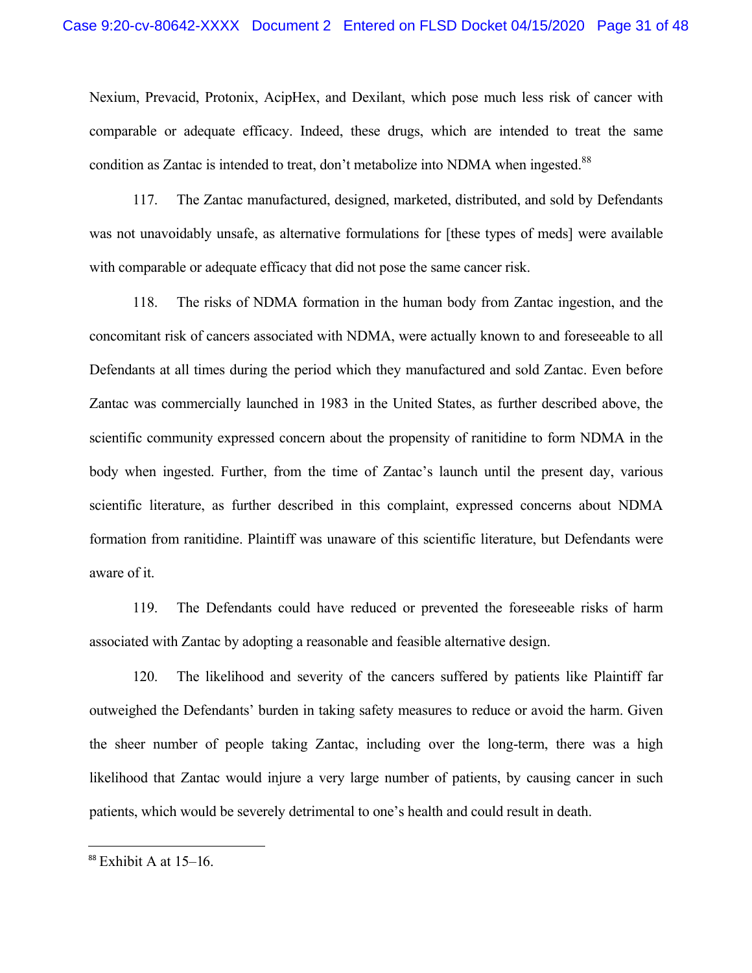Nexium, Prevacid, Protonix, AcipHex, and Dexilant, which pose much less risk of cancer with comparable or adequate efficacy. Indeed, these drugs, which are intended to treat the same condition as Zantac is intended to treat, don't metabolize into NDMA when ingested.<sup>88</sup>

117. The Zantac manufactured, designed, marketed, distributed, and sold by Defendants was not unavoidably unsafe, as alternative formulations for [these types of meds] were available with comparable or adequate efficacy that did not pose the same cancer risk.

118. The risks of NDMA formation in the human body from Zantac ingestion, and the concomitant risk of cancers associated with NDMA, were actually known to and foreseeable to all Defendants at all times during the period which they manufactured and sold Zantac. Even before Zantac was commercially launched in 1983 in the United States, as further described above, the scientific community expressed concern about the propensity of ranitidine to form NDMA in the body when ingested. Further, from the time of Zantac's launch until the present day, various scientific literature, as further described in this complaint, expressed concerns about NDMA formation from ranitidine. Plaintiff was unaware of this scientific literature, but Defendants were aware of it.

119. The Defendants could have reduced or prevented the foreseeable risks of harm associated with Zantac by adopting a reasonable and feasible alternative design.

120. The likelihood and severity of the cancers suffered by patients like Plaintiff far outweighed the Defendants' burden in taking safety measures to reduce or avoid the harm. Given the sheer number of people taking Zantac, including over the long-term, there was a high likelihood that Zantac would injure a very large number of patients, by causing cancer in such patients, which would be severely detrimental to one's health and could result in death.

<sup>&</sup>lt;sup>88</sup> Exhibit A at 15-16.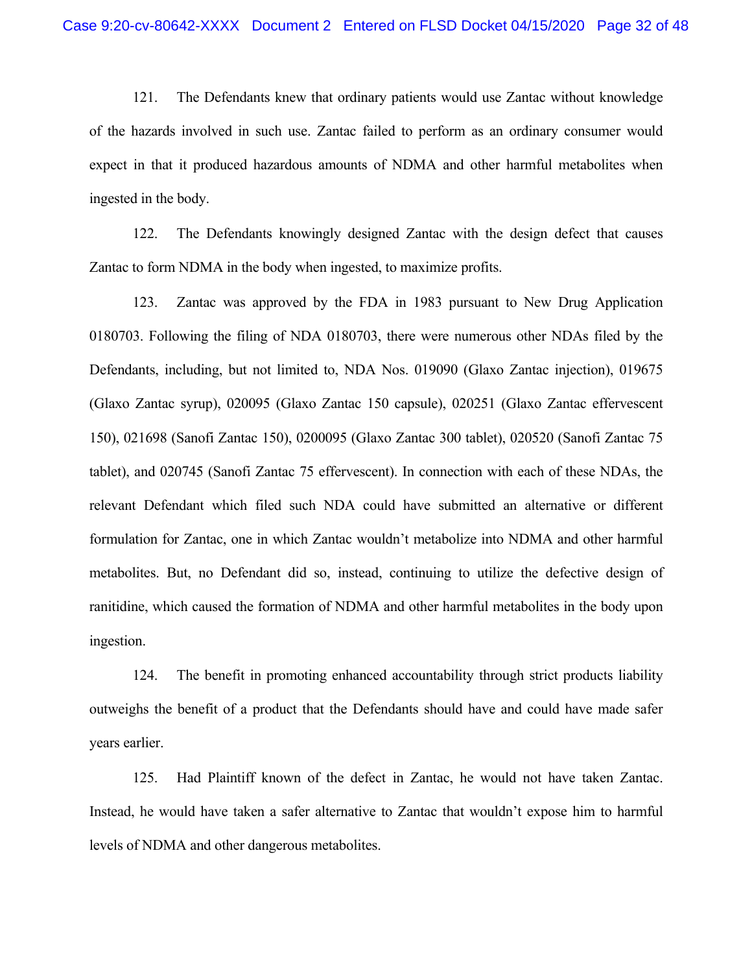121. The Defendants knew that ordinary patients would use Zantac without knowledge of the hazards involved in such use. Zantac failed to perform as an ordinary consumer would expect in that it produced hazardous amounts of NDMA and other harmful metabolites when ingested in the body.

122. The Defendants knowingly designed Zantac with the design defect that causes Zantac to form NDMA in the body when ingested, to maximize profits.

123. Zantac was approved by the FDA in 1983 pursuant to New Drug Application 0180703. Following the filing of NDA 0180703, there were numerous other NDAs filed by the Defendants, including, but not limited to, NDA Nos. 019090 (Glaxo Zantac injection), 019675 (Glaxo Zantac syrup), 020095 (Glaxo Zantac 150 capsule), 020251 (Glaxo Zantac effervescent 150), 021698 (Sanofi Zantac 150), 0200095 (Glaxo Zantac 300 tablet), 020520 (Sanofi Zantac 75 tablet), and 020745 (Sanofi Zantac 75 effervescent). In connection with each of these NDAs, the relevant Defendant which filed such NDA could have submitted an alternative or different formulation for Zantac, one in which Zantac wouldn't metabolize into NDMA and other harmful metabolites. But, no Defendant did so, instead, continuing to utilize the defective design of ranitidine, which caused the formation of NDMA and other harmful metabolites in the body upon ingestion.

124. The benefit in promoting enhanced accountability through strict products liability outweighs the benefit of a product that the Defendants should have and could have made safer years earlier.

125. Had Plaintiff known of the defect in Zantac, he would not have taken Zantac. Instead, he would have taken a safer alternative to Zantac that wouldn't expose him to harmful levels of NDMA and other dangerous metabolites.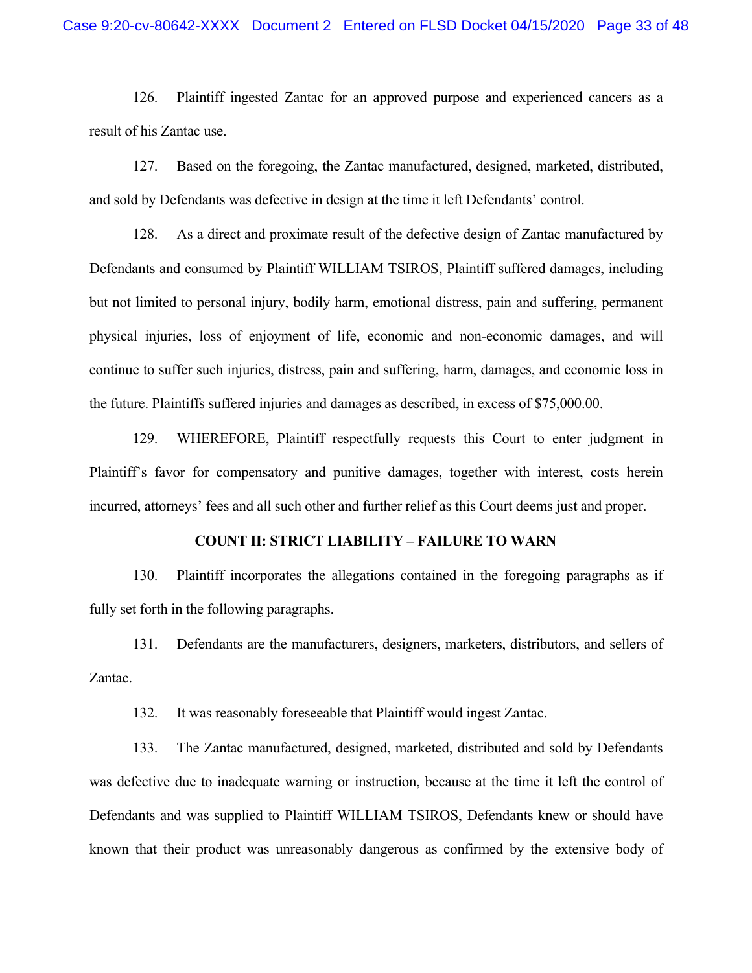126. Plaintiff ingested Zantac for an approved purpose and experienced cancers as a result of his Zantac use.

127. Based on the foregoing, the Zantac manufactured, designed, marketed, distributed, and sold by Defendants was defective in design at the time it left Defendants' control.

128. As a direct and proximate result of the defective design of Zantac manufactured by Defendants and consumed by Plaintiff WILLIAM TSIROS, Plaintiff suffered damages, including but not limited to personal injury, bodily harm, emotional distress, pain and suffering, permanent physical injuries, loss of enjoyment of life, economic and non-economic damages, and will continue to suffer such injuries, distress, pain and suffering, harm, damages, and economic loss in the future. Plaintiffs suffered injuries and damages as described, in excess of \$75,000.00.

129. WHEREFORE, Plaintiff respectfully requests this Court to enter judgment in Plaintiff's favor for compensatory and punitive damages, together with interest, costs herein incurred, attorneys' fees and all such other and further relief as this Court deems just and proper.

# **COUNT II: STRICT LIABILITY – FAILURE TO WARN**

130. Plaintiff incorporates the allegations contained in the foregoing paragraphs as if fully set forth in the following paragraphs.

131. Defendants are the manufacturers, designers, marketers, distributors, and sellers of Zantac.

132. It was reasonably foreseeable that Plaintiff would ingest Zantac.

133. The Zantac manufactured, designed, marketed, distributed and sold by Defendants was defective due to inadequate warning or instruction, because at the time it left the control of Defendants and was supplied to Plaintiff WILLIAM TSIROS, Defendants knew or should have known that their product was unreasonably dangerous as confirmed by the extensive body of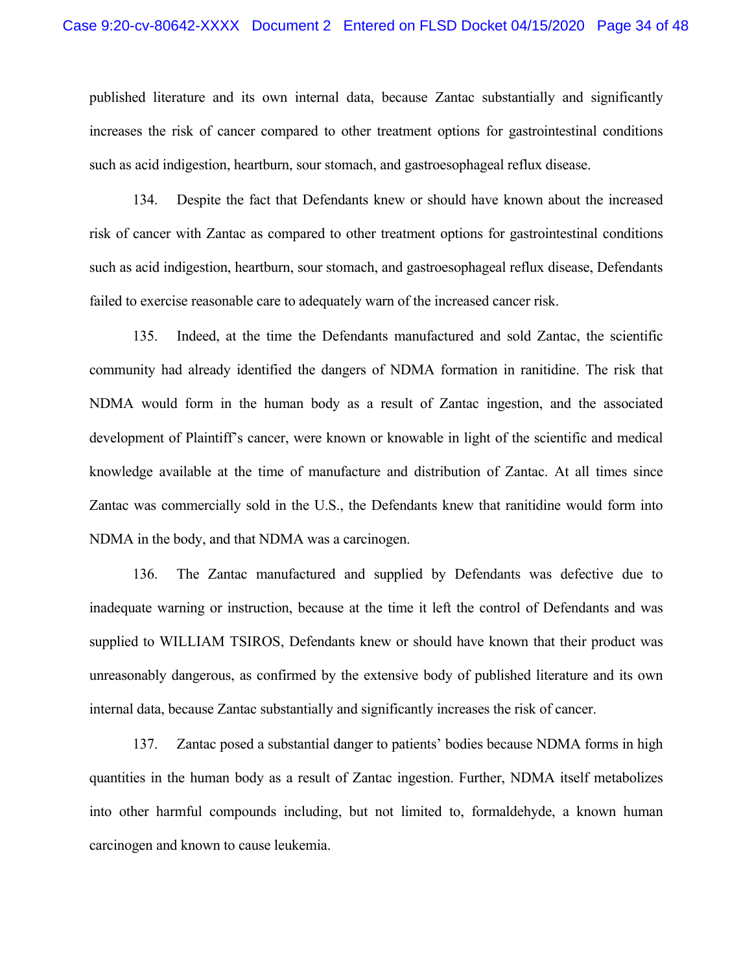published literature and its own internal data, because Zantac substantially and significantly increases the risk of cancer compared to other treatment options for gastrointestinal conditions such as acid indigestion, heartburn, sour stomach, and gastroesophageal reflux disease.

134. Despite the fact that Defendants knew or should have known about the increased risk of cancer with Zantac as compared to other treatment options for gastrointestinal conditions such as acid indigestion, heartburn, sour stomach, and gastroesophageal reflux disease, Defendants failed to exercise reasonable care to adequately warn of the increased cancer risk.

135. Indeed, at the time the Defendants manufactured and sold Zantac, the scientific community had already identified the dangers of NDMA formation in ranitidine. The risk that NDMA would form in the human body as a result of Zantac ingestion, and the associated development of Plaintiff's cancer, were known or knowable in light of the scientific and medical knowledge available at the time of manufacture and distribution of Zantac. At all times since Zantac was commercially sold in the U.S., the Defendants knew that ranitidine would form into NDMA in the body, and that NDMA was a carcinogen.

136. The Zantac manufactured and supplied by Defendants was defective due to inadequate warning or instruction, because at the time it left the control of Defendants and was supplied to WILLIAM TSIROS, Defendants knew or should have known that their product was unreasonably dangerous, as confirmed by the extensive body of published literature and its own internal data, because Zantac substantially and significantly increases the risk of cancer.

137. Zantac posed a substantial danger to patients' bodies because NDMA forms in high quantities in the human body as a result of Zantac ingestion. Further, NDMA itself metabolizes into other harmful compounds including, but not limited to, formaldehyde, a known human carcinogen and known to cause leukemia.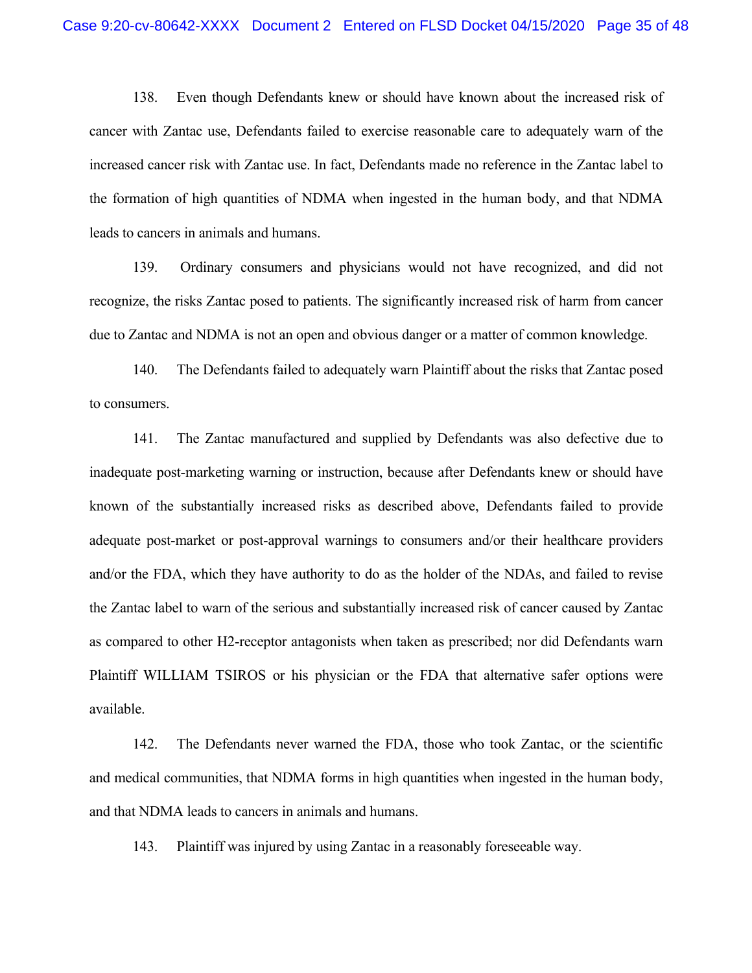138. Even though Defendants knew or should have known about the increased risk of cancer with Zantac use, Defendants failed to exercise reasonable care to adequately warn of the increased cancer risk with Zantac use. In fact, Defendants made no reference in the Zantac label to the formation of high quantities of NDMA when ingested in the human body, and that NDMA leads to cancers in animals and humans.

139. Ordinary consumers and physicians would not have recognized, and did not recognize, the risks Zantac posed to patients. The significantly increased risk of harm from cancer due to Zantac and NDMA is not an open and obvious danger or a matter of common knowledge.

140. The Defendants failed to adequately warn Plaintiff about the risks that Zantac posed to consumers.

141. The Zantac manufactured and supplied by Defendants was also defective due to inadequate post-marketing warning or instruction, because after Defendants knew or should have known of the substantially increased risks as described above, Defendants failed to provide adequate post-market or post-approval warnings to consumers and/or their healthcare providers and/or the FDA, which they have authority to do as the holder of the NDAs, and failed to revise the Zantac label to warn of the serious and substantially increased risk of cancer caused by Zantac as compared to other H2-receptor antagonists when taken as prescribed; nor did Defendants warn Plaintiff WILLIAM TSIROS or his physician or the FDA that alternative safer options were available.

142. The Defendants never warned the FDA, those who took Zantac, or the scientific and medical communities, that NDMA forms in high quantities when ingested in the human body, and that NDMA leads to cancers in animals and humans.

143. Plaintiff was injured by using Zantac in a reasonably foreseeable way.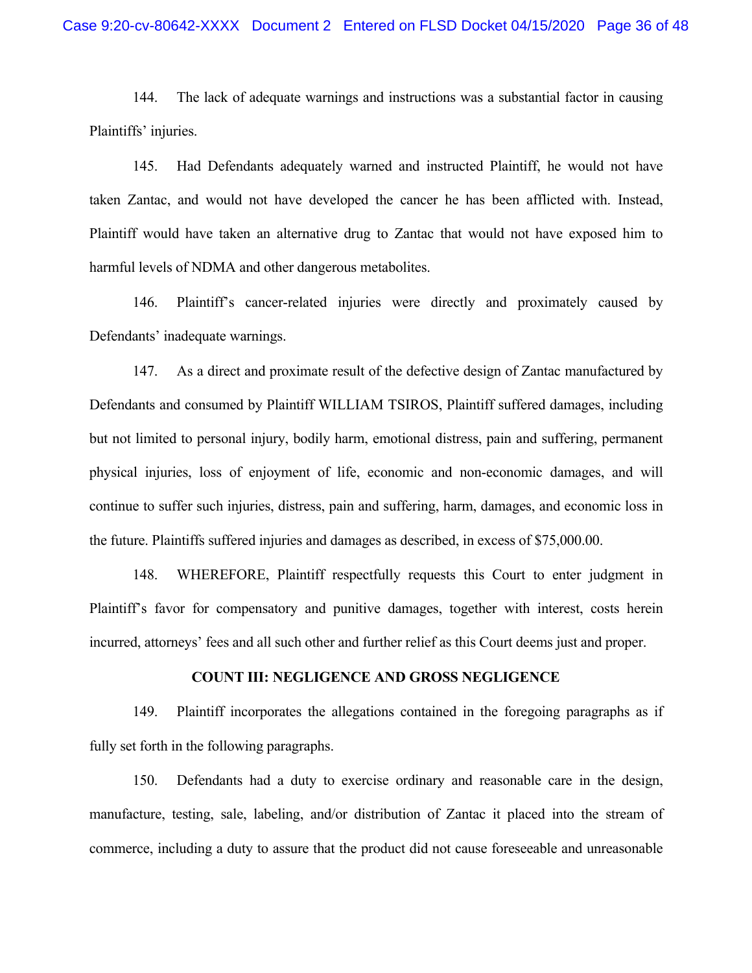144. The lack of adequate warnings and instructions was a substantial factor in causing Plaintiffs' injuries.

145. Had Defendants adequately warned and instructed Plaintiff, he would not have taken Zantac, and would not have developed the cancer he has been afflicted with. Instead, Plaintiff would have taken an alternative drug to Zantac that would not have exposed him to harmful levels of NDMA and other dangerous metabolites.

146. Plaintiff's cancer-related injuries were directly and proximately caused by Defendants' inadequate warnings.

147. As a direct and proximate result of the defective design of Zantac manufactured by Defendants and consumed by Plaintiff WILLIAM TSIROS, Plaintiff suffered damages, including but not limited to personal injury, bodily harm, emotional distress, pain and suffering, permanent physical injuries, loss of enjoyment of life, economic and non-economic damages, and will continue to suffer such injuries, distress, pain and suffering, harm, damages, and economic loss in the future. Plaintiffs suffered injuries and damages as described, in excess of \$75,000.00.

148. WHEREFORE, Plaintiff respectfully requests this Court to enter judgment in Plaintiff's favor for compensatory and punitive damages, together with interest, costs herein incurred, attorneys' fees and all such other and further relief as this Court deems just and proper.

### **COUNT III: NEGLIGENCE AND GROSS NEGLIGENCE**

149. Plaintiff incorporates the allegations contained in the foregoing paragraphs as if fully set forth in the following paragraphs.

150. Defendants had a duty to exercise ordinary and reasonable care in the design, manufacture, testing, sale, labeling, and/or distribution of Zantac it placed into the stream of commerce, including a duty to assure that the product did not cause foreseeable and unreasonable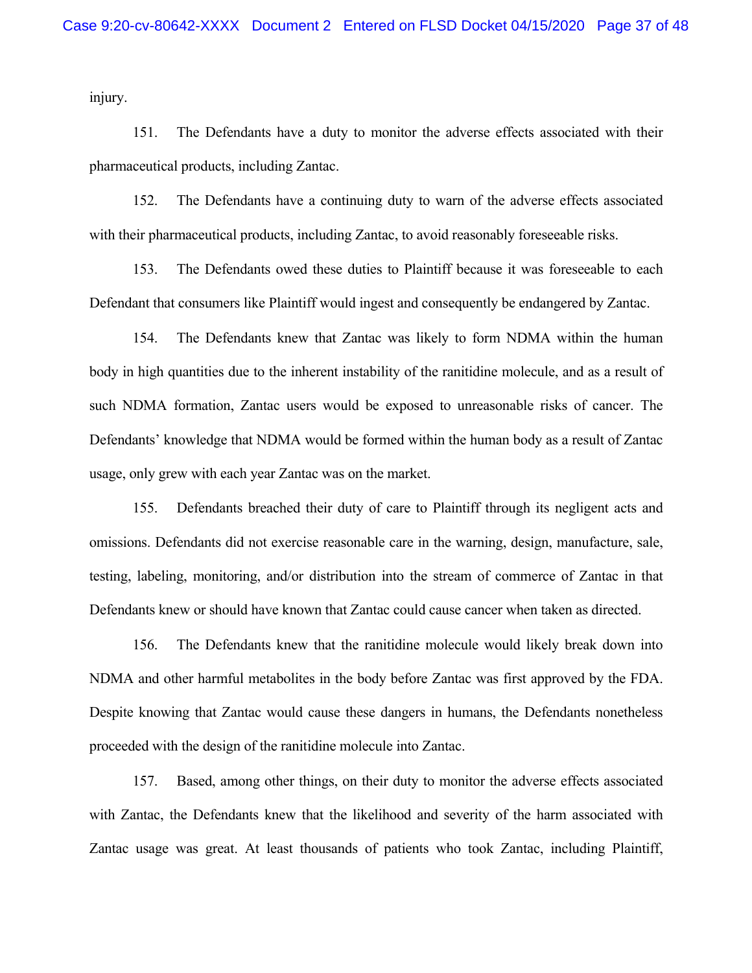injury.

151. The Defendants have a duty to monitor the adverse effects associated with their pharmaceutical products, including Zantac.

152. The Defendants have a continuing duty to warn of the adverse effects associated with their pharmaceutical products, including Zantac, to avoid reasonably foreseeable risks.

153. The Defendants owed these duties to Plaintiff because it was foreseeable to each Defendant that consumers like Plaintiff would ingest and consequently be endangered by Zantac.

154. The Defendants knew that Zantac was likely to form NDMA within the human body in high quantities due to the inherent instability of the ranitidine molecule, and as a result of such NDMA formation, Zantac users would be exposed to unreasonable risks of cancer. The Defendants' knowledge that NDMA would be formed within the human body as a result of Zantac usage, only grew with each year Zantac was on the market.

155. Defendants breached their duty of care to Plaintiff through its negligent acts and omissions. Defendants did not exercise reasonable care in the warning, design, manufacture, sale, testing, labeling, monitoring, and/or distribution into the stream of commerce of Zantac in that Defendants knew or should have known that Zantac could cause cancer when taken as directed.

156. The Defendants knew that the ranitidine molecule would likely break down into NDMA and other harmful metabolites in the body before Zantac was first approved by the FDA. Despite knowing that Zantac would cause these dangers in humans, the Defendants nonetheless proceeded with the design of the ranitidine molecule into Zantac.

157. Based, among other things, on their duty to monitor the adverse effects associated with Zantac, the Defendants knew that the likelihood and severity of the harm associated with Zantac usage was great. At least thousands of patients who took Zantac, including Plaintiff,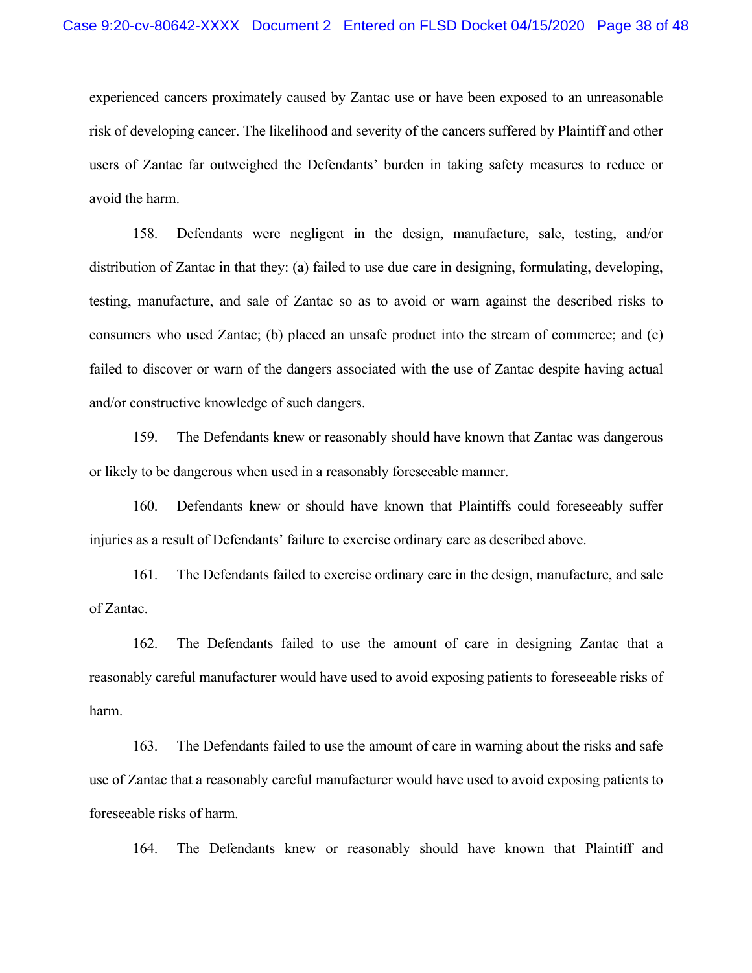experienced cancers proximately caused by Zantac use or have been exposed to an unreasonable risk of developing cancer. The likelihood and severity of the cancers suffered by Plaintiff and other users of Zantac far outweighed the Defendants' burden in taking safety measures to reduce or avoid the harm.

158. Defendants were negligent in the design, manufacture, sale, testing, and/or distribution of Zantac in that they: (a) failed to use due care in designing, formulating, developing, testing, manufacture, and sale of Zantac so as to avoid or warn against the described risks to consumers who used Zantac; (b) placed an unsafe product into the stream of commerce; and (c) failed to discover or warn of the dangers associated with the use of Zantac despite having actual and/or constructive knowledge of such dangers.

159. The Defendants knew or reasonably should have known that Zantac was dangerous or likely to be dangerous when used in a reasonably foreseeable manner.

160. Defendants knew or should have known that Plaintiffs could foreseeably suffer injuries as a result of Defendants' failure to exercise ordinary care as described above.

161. The Defendants failed to exercise ordinary care in the design, manufacture, and sale of Zantac.

162. The Defendants failed to use the amount of care in designing Zantac that a reasonably careful manufacturer would have used to avoid exposing patients to foreseeable risks of harm.

163. The Defendants failed to use the amount of care in warning about the risks and safe use of Zantac that a reasonably careful manufacturer would have used to avoid exposing patients to foreseeable risks of harm.

164. The Defendants knew or reasonably should have known that Plaintiff and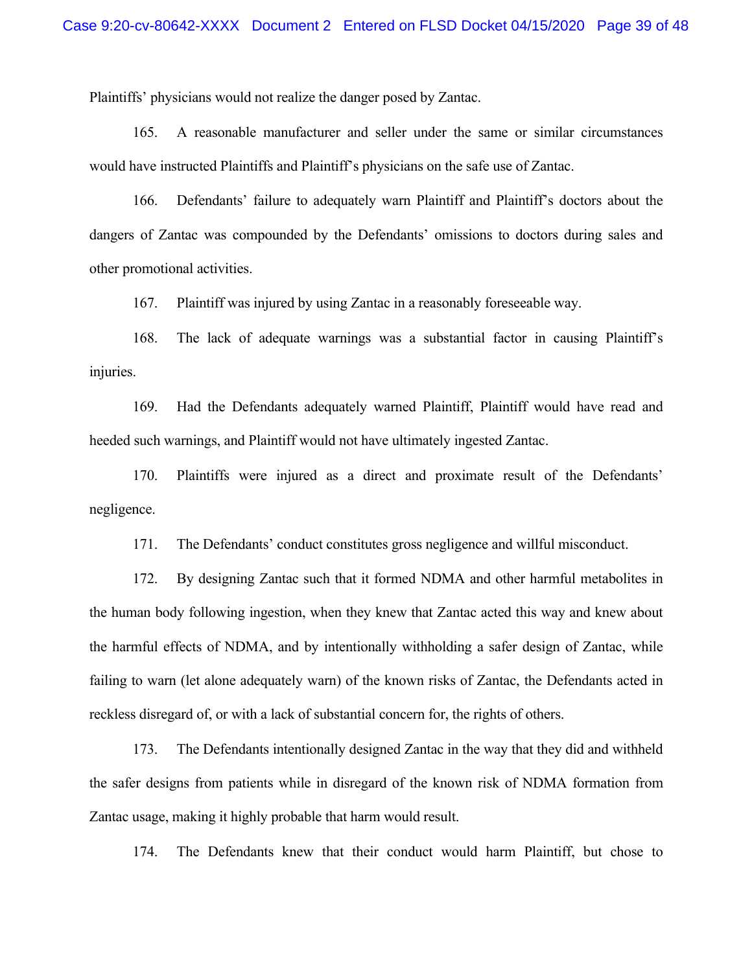Plaintiffs' physicians would not realize the danger posed by Zantac.

165. A reasonable manufacturer and seller under the same or similar circumstances would have instructed Plaintiffs and Plaintiff's physicians on the safe use of Zantac.

166. Defendants' failure to adequately warn Plaintiff and Plaintiff's doctors about the dangers of Zantac was compounded by the Defendants' omissions to doctors during sales and other promotional activities.

167. Plaintiff was injured by using Zantac in a reasonably foreseeable way.

168. The lack of adequate warnings was a substantial factor in causing Plaintiff's injuries.

169. Had the Defendants adequately warned Plaintiff, Plaintiff would have read and heeded such warnings, and Plaintiff would not have ultimately ingested Zantac.

170. Plaintiffs were injured as a direct and proximate result of the Defendants' negligence.

171. The Defendants' conduct constitutes gross negligence and willful misconduct.

172. By designing Zantac such that it formed NDMA and other harmful metabolites in the human body following ingestion, when they knew that Zantac acted this way and knew about the harmful effects of NDMA, and by intentionally withholding a safer design of Zantac, while failing to warn (let alone adequately warn) of the known risks of Zantac, the Defendants acted in reckless disregard of, or with a lack of substantial concern for, the rights of others.

173. The Defendants intentionally designed Zantac in the way that they did and withheld the safer designs from patients while in disregard of the known risk of NDMA formation from Zantac usage, making it highly probable that harm would result.

174. The Defendants knew that their conduct would harm Plaintiff, but chose to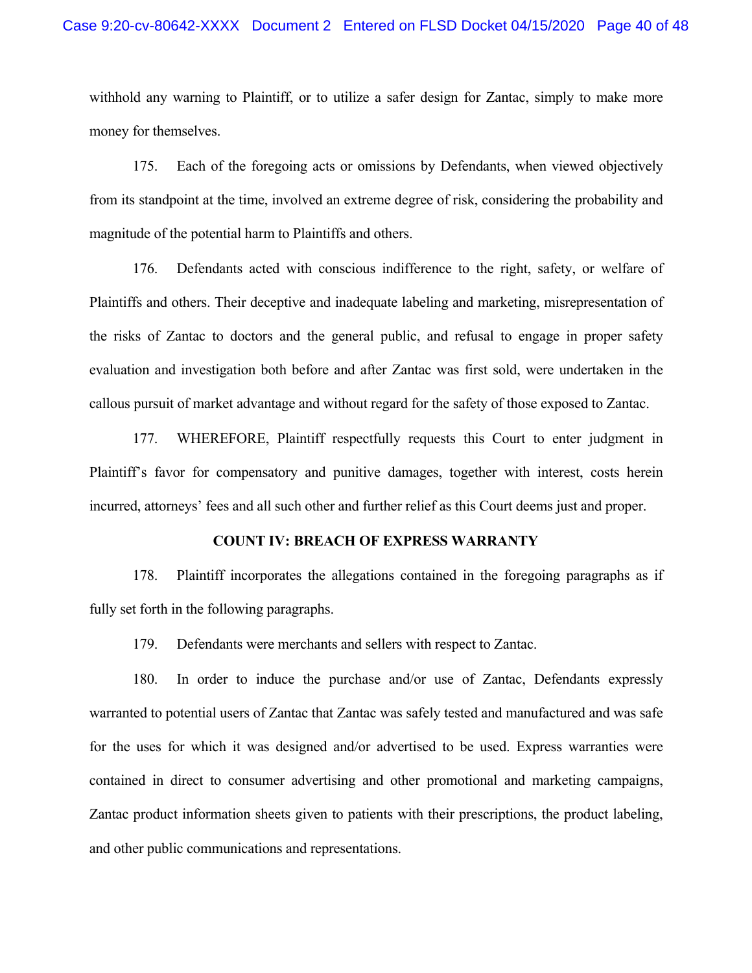withhold any warning to Plaintiff, or to utilize a safer design for Zantac, simply to make more money for themselves.

175. Each of the foregoing acts or omissions by Defendants, when viewed objectively from its standpoint at the time, involved an extreme degree of risk, considering the probability and magnitude of the potential harm to Plaintiffs and others.

176. Defendants acted with conscious indifference to the right, safety, or welfare of Plaintiffs and others. Their deceptive and inadequate labeling and marketing, misrepresentation of the risks of Zantac to doctors and the general public, and refusal to engage in proper safety evaluation and investigation both before and after Zantac was first sold, were undertaken in the callous pursuit of market advantage and without regard for the safety of those exposed to Zantac.

177. WHEREFORE, Plaintiff respectfully requests this Court to enter judgment in Plaintiff's favor for compensatory and punitive damages, together with interest, costs herein incurred, attorneys' fees and all such other and further relief as this Court deems just and proper.

## **COUNT IV: BREACH OF EXPRESS WARRANTY**

178. Plaintiff incorporates the allegations contained in the foregoing paragraphs as if fully set forth in the following paragraphs.

179. Defendants were merchants and sellers with respect to Zantac.

180. In order to induce the purchase and/or use of Zantac, Defendants expressly warranted to potential users of Zantac that Zantac was safely tested and manufactured and was safe for the uses for which it was designed and/or advertised to be used. Express warranties were contained in direct to consumer advertising and other promotional and marketing campaigns, Zantac product information sheets given to patients with their prescriptions, the product labeling, and other public communications and representations.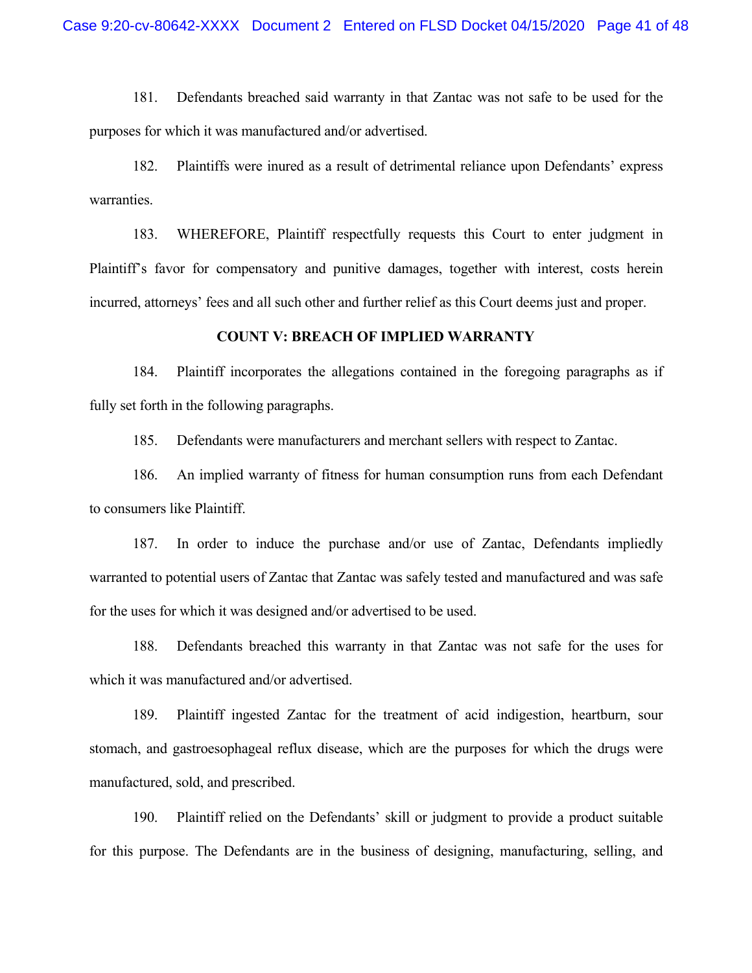181. Defendants breached said warranty in that Zantac was not safe to be used for the purposes for which it was manufactured and/or advertised.

182. Plaintiffs were inured as a result of detrimental reliance upon Defendants' express warranties.

183. WHEREFORE, Plaintiff respectfully requests this Court to enter judgment in Plaintiff's favor for compensatory and punitive damages, together with interest, costs herein incurred, attorneys' fees and all such other and further relief as this Court deems just and proper.

#### **COUNT V: BREACH OF IMPLIED WARRANTY**

184. Plaintiff incorporates the allegations contained in the foregoing paragraphs as if fully set forth in the following paragraphs.

185. Defendants were manufacturers and merchant sellers with respect to Zantac.

186. An implied warranty of fitness for human consumption runs from each Defendant to consumers like Plaintiff.

187. In order to induce the purchase and/or use of Zantac, Defendants impliedly warranted to potential users of Zantac that Zantac was safely tested and manufactured and was safe for the uses for which it was designed and/or advertised to be used.

188. Defendants breached this warranty in that Zantac was not safe for the uses for which it was manufactured and/or advertised.

189. Plaintiff ingested Zantac for the treatment of acid indigestion, heartburn, sour stomach, and gastroesophageal reflux disease, which are the purposes for which the drugs were manufactured, sold, and prescribed.

190. Plaintiff relied on the Defendants' skill or judgment to provide a product suitable for this purpose. The Defendants are in the business of designing, manufacturing, selling, and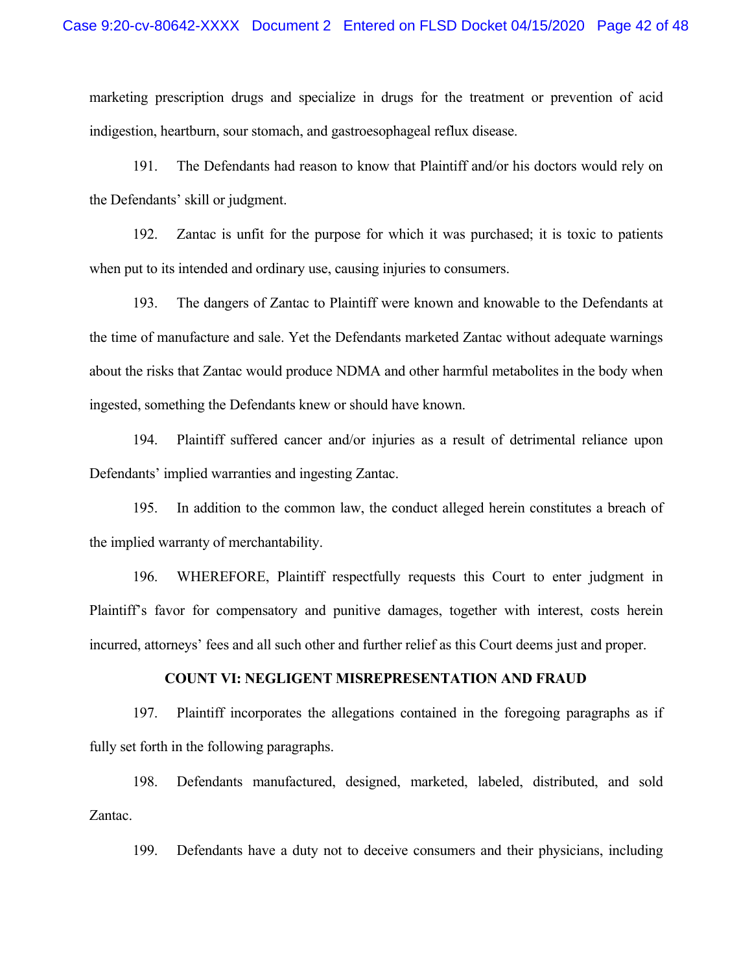marketing prescription drugs and specialize in drugs for the treatment or prevention of acid indigestion, heartburn, sour stomach, and gastroesophageal reflux disease.

191. The Defendants had reason to know that Plaintiff and/or his doctors would rely on the Defendants' skill or judgment.

192. Zantac is unfit for the purpose for which it was purchased; it is toxic to patients when put to its intended and ordinary use, causing injuries to consumers.

193. The dangers of Zantac to Plaintiff were known and knowable to the Defendants at the time of manufacture and sale. Yet the Defendants marketed Zantac without adequate warnings about the risks that Zantac would produce NDMA and other harmful metabolites in the body when ingested, something the Defendants knew or should have known.

194. Plaintiff suffered cancer and/or injuries as a result of detrimental reliance upon Defendants' implied warranties and ingesting Zantac.

195. In addition to the common law, the conduct alleged herein constitutes a breach of the implied warranty of merchantability.

196. WHEREFORE, Plaintiff respectfully requests this Court to enter judgment in Plaintiff's favor for compensatory and punitive damages, together with interest, costs herein incurred, attorneys' fees and all such other and further relief as this Court deems just and proper.

### **COUNT VI: NEGLIGENT MISREPRESENTATION AND FRAUD**

197. Plaintiff incorporates the allegations contained in the foregoing paragraphs as if fully set forth in the following paragraphs.

198. Defendants manufactured, designed, marketed, labeled, distributed, and sold Zantac.

199. Defendants have a duty not to deceive consumers and their physicians, including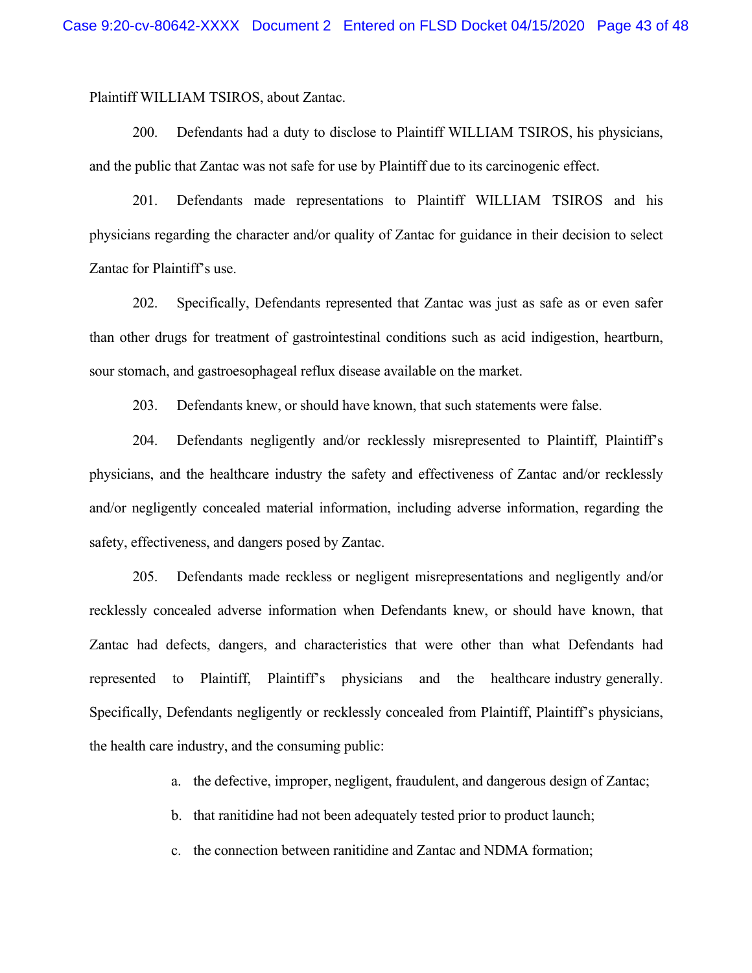Plaintiff WILLIAM TSIROS, about Zantac.

200. Defendants had a duty to disclose to Plaintiff WILLIAM TSIROS, his physicians, and the public that Zantac was not safe for use by Plaintiff due to its carcinogenic effect.

201. Defendants made representations to Plaintiff WILLIAM TSIROS and his physicians regarding the character and/or quality of Zantac for guidance in their decision to select Zantac for Plaintiff's use.

202. Specifically, Defendants represented that Zantac was just as safe as or even safer than other drugs for treatment of gastrointestinal conditions such as acid indigestion, heartburn, sour stomach, and gastroesophageal reflux disease available on the market.

203. Defendants knew, or should have known, that such statements were false.

204. Defendants negligently and/or recklessly misrepresented to Plaintiff, Plaintiff's physicians, and the healthcare industry the safety and effectiveness of Zantac and/or recklessly and/or negligently concealed material information, including adverse information, regarding the safety, effectiveness, and dangers posed by Zantac.

205. Defendants made reckless or negligent misrepresentations and negligently and/or recklessly concealed adverse information when Defendants knew, or should have known, that Zantac had defects, dangers, and characteristics that were other than what Defendants had represented to Plaintiff, Plaintiff's physicians and the healthcare industry generally. Specifically, Defendants negligently or recklessly concealed from Plaintiff, Plaintiff's physicians, the health care industry, and the consuming public:

a. the defective, improper, negligent, fraudulent, and dangerous design of Zantac;

b. that ranitidine had not been adequately tested prior to product launch;

c. the connection between ranitidine and Zantac and NDMA formation;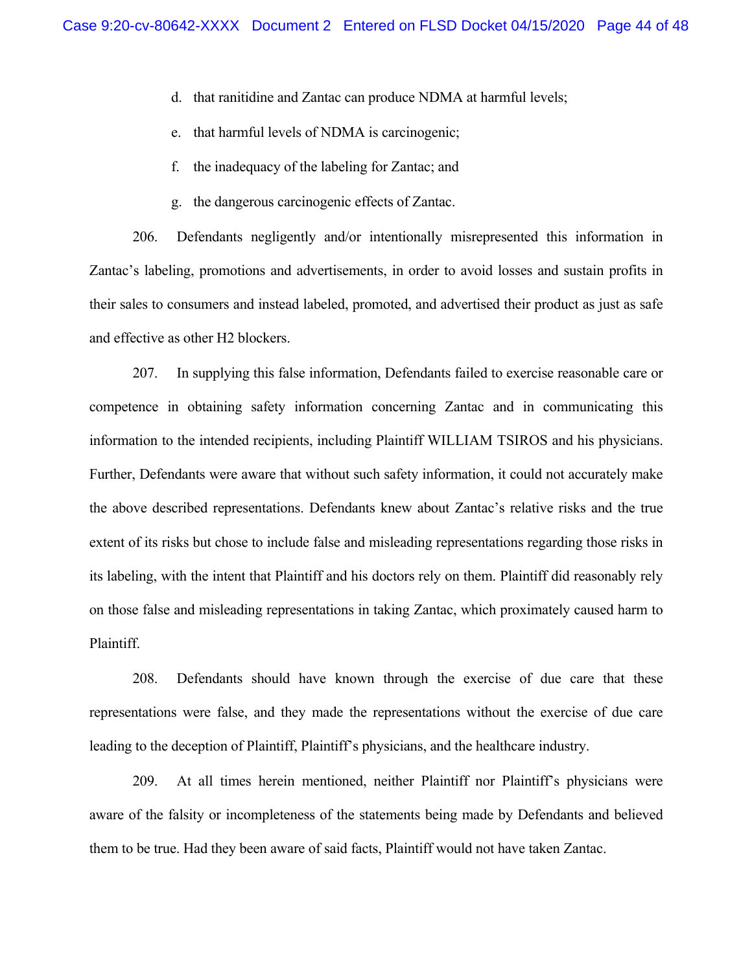- d. that ranitidine and Zantac can produce NDMA at harmful levels;
- e. that harmful levels of NDMA is carcinogenic;
- f. the inadequacy of the labeling for Zantac; and
- g. the dangerous carcinogenic effects of Zantac.

206. Defendants negligently and/or intentionally misrepresented this information in Zantac's labeling, promotions and advertisements, in order to avoid losses and sustain profits in their sales to consumers and instead labeled, promoted, and advertised their product as just as safe and effective as other H2 blockers.

207. In supplying this false information, Defendants failed to exercise reasonable care or competence in obtaining safety information concerning Zantac and in communicating this information to the intended recipients, including Plaintiff WILLIAM TSIROS and his physicians. Further, Defendants were aware that without such safety information, it could not accurately make the above described representations. Defendants knew about Zantac's relative risks and the true extent of its risks but chose to include false and misleading representations regarding those risks in its labeling, with the intent that Plaintiff and his doctors rely on them. Plaintiff did reasonably rely on those false and misleading representations in taking Zantac, which proximately caused harm to Plaintiff.

208. Defendants should have known through the exercise of due care that these representations were false, and they made the representations without the exercise of due care leading to the deception of Plaintiff, Plaintiff's physicians, and the healthcare industry.

209. At all times herein mentioned, neither Plaintiff nor Plaintiff's physicians were aware of the falsity or incompleteness of the statements being made by Defendants and believed them to be true. Had they been aware of said facts, Plaintiff would not have taken Zantac.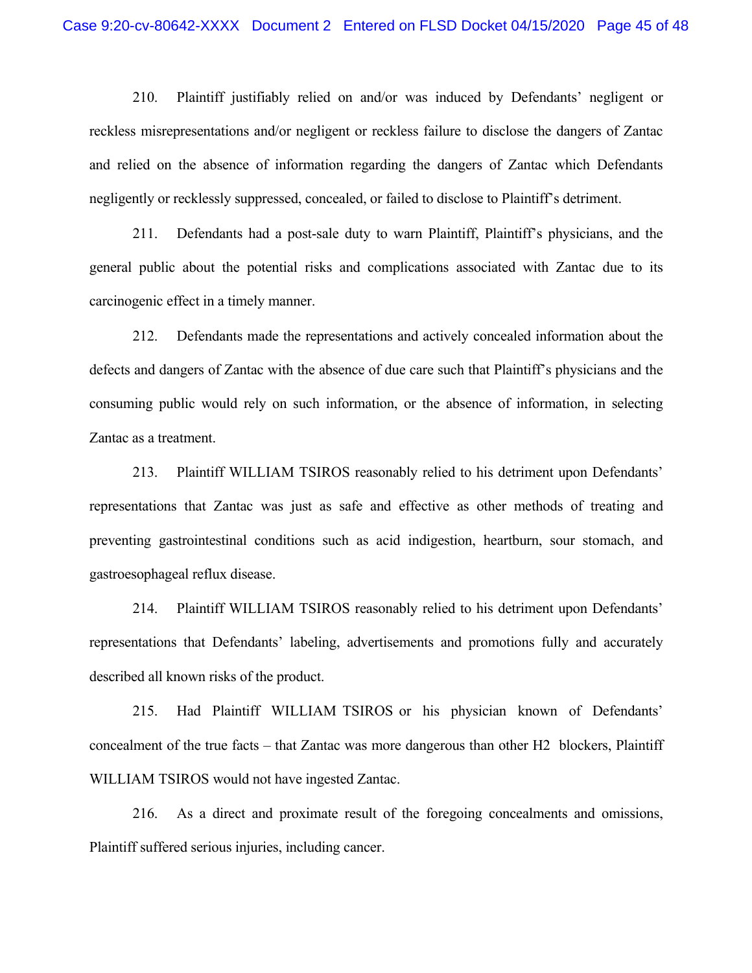210. Plaintiff justifiably relied on and/or was induced by Defendants' negligent or reckless misrepresentations and/or negligent or reckless failure to disclose the dangers of Zantac and relied on the absence of information regarding the dangers of Zantac which Defendants negligently or recklessly suppressed, concealed, or failed to disclose to Plaintiff's detriment.

211. Defendants had a post-sale duty to warn Plaintiff, Plaintiff's physicians, and the general public about the potential risks and complications associated with Zantac due to its carcinogenic effect in a timely manner.

212. Defendants made the representations and actively concealed information about the defects and dangers of Zantac with the absence of due care such that Plaintiff's physicians and the consuming public would rely on such information, or the absence of information, in selecting Zantac as a treatment.

213. Plaintiff WILLIAM TSIROS reasonably relied to his detriment upon Defendants' representations that Zantac was just as safe and effective as other methods of treating and preventing gastrointestinal conditions such as acid indigestion, heartburn, sour stomach, and gastroesophageal reflux disease.

214. Plaintiff WILLIAM TSIROS reasonably relied to his detriment upon Defendants' representations that Defendants' labeling, advertisements and promotions fully and accurately described all known risks of the product.

215. Had Plaintiff WILLIAM TSIROS or his physician known of Defendants' concealment of the true facts – that Zantac was more dangerous than other H2 blockers, Plaintiff WILLIAM TSIROS would not have ingested Zantac.

216. As a direct and proximate result of the foregoing concealments and omissions, Plaintiff suffered serious injuries, including cancer.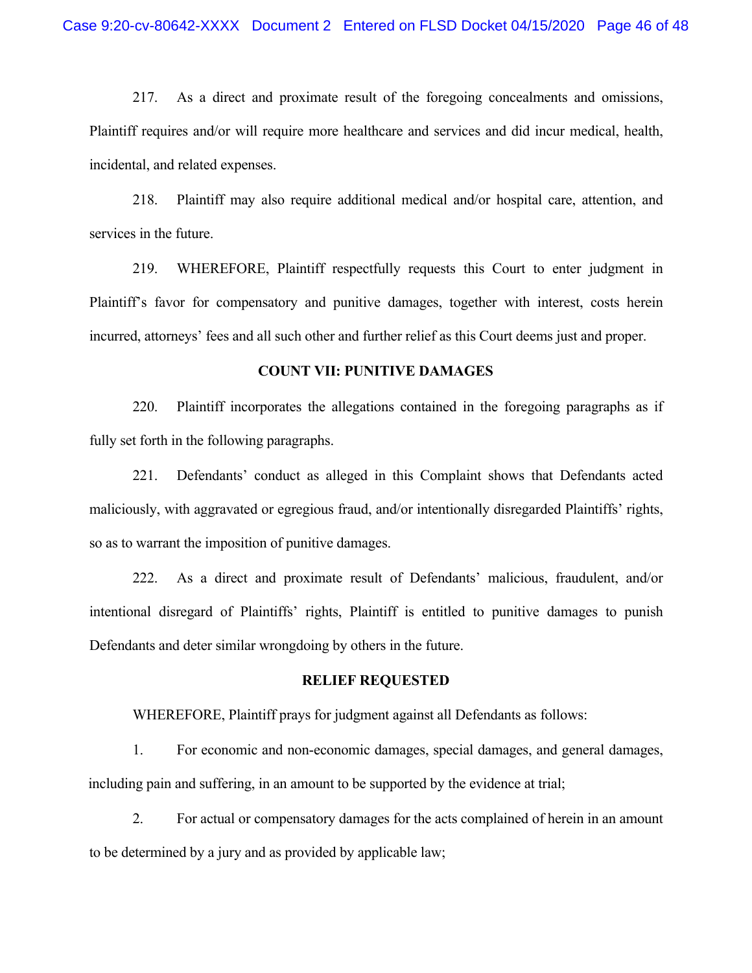217. As a direct and proximate result of the foregoing concealments and omissions, Plaintiff requires and/or will require more healthcare and services and did incur medical, health, incidental, and related expenses.

218. Plaintiff may also require additional medical and/or hospital care, attention, and services in the future.

219. WHEREFORE, Plaintiff respectfully requests this Court to enter judgment in Plaintiff's favor for compensatory and punitive damages, together with interest, costs herein incurred, attorneys' fees and all such other and further relief as this Court deems just and proper.

#### **COUNT VII: PUNITIVE DAMAGES**

220. Plaintiff incorporates the allegations contained in the foregoing paragraphs as if fully set forth in the following paragraphs.

221. Defendants' conduct as alleged in this Complaint shows that Defendants acted maliciously, with aggravated or egregious fraud, and/or intentionally disregarded Plaintiffs' rights, so as to warrant the imposition of punitive damages.

222. As a direct and proximate result of Defendants' malicious, fraudulent, and/or intentional disregard of Plaintiffs' rights, Plaintiff is entitled to punitive damages to punish Defendants and deter similar wrongdoing by others in the future.

#### **RELIEF REQUESTED**

WHEREFORE, Plaintiff prays for judgment against all Defendants as follows:

1. For economic and non-economic damages, special damages, and general damages, including pain and suffering, in an amount to be supported by the evidence at trial;

2. For actual or compensatory damages for the acts complained of herein in an amount to be determined by a jury and as provided by applicable law;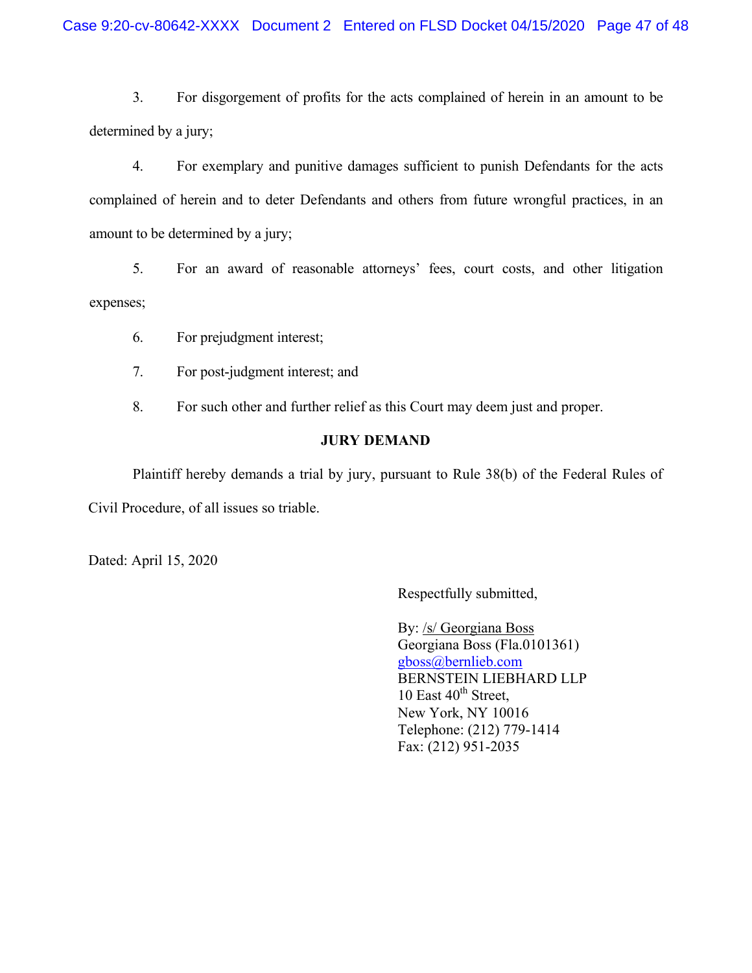3. For disgorgement of profits for the acts complained of herein in an amount to be determined by a jury;

4. For exemplary and punitive damages sufficient to punish Defendants for the acts complained of herein and to deter Defendants and others from future wrongful practices, in an amount to be determined by a jury;

5. For an award of reasonable attorneys' fees, court costs, and other litigation expenses;

6. For prejudgment interest;

7. For post-judgment interest; and

8. For such other and further relief as this Court may deem just and proper.

## **JURY DEMAND**

Plaintiff hereby demands a trial by jury, pursuant to Rule 38(b) of the Federal Rules of Civil Procedure, of all issues so triable.

Dated: April 15, 2020

Respectfully submitted,

By: /s/ Georgiana Boss Georgiana Boss (Fla.0101361) gboss@bernlieb.com BERNSTEIN LIEBHARD LLP 10 East  $40^{th}$  Street, New York, NY 10016 Telephone: (212) 779-1414 Fax: (212) 951-2035